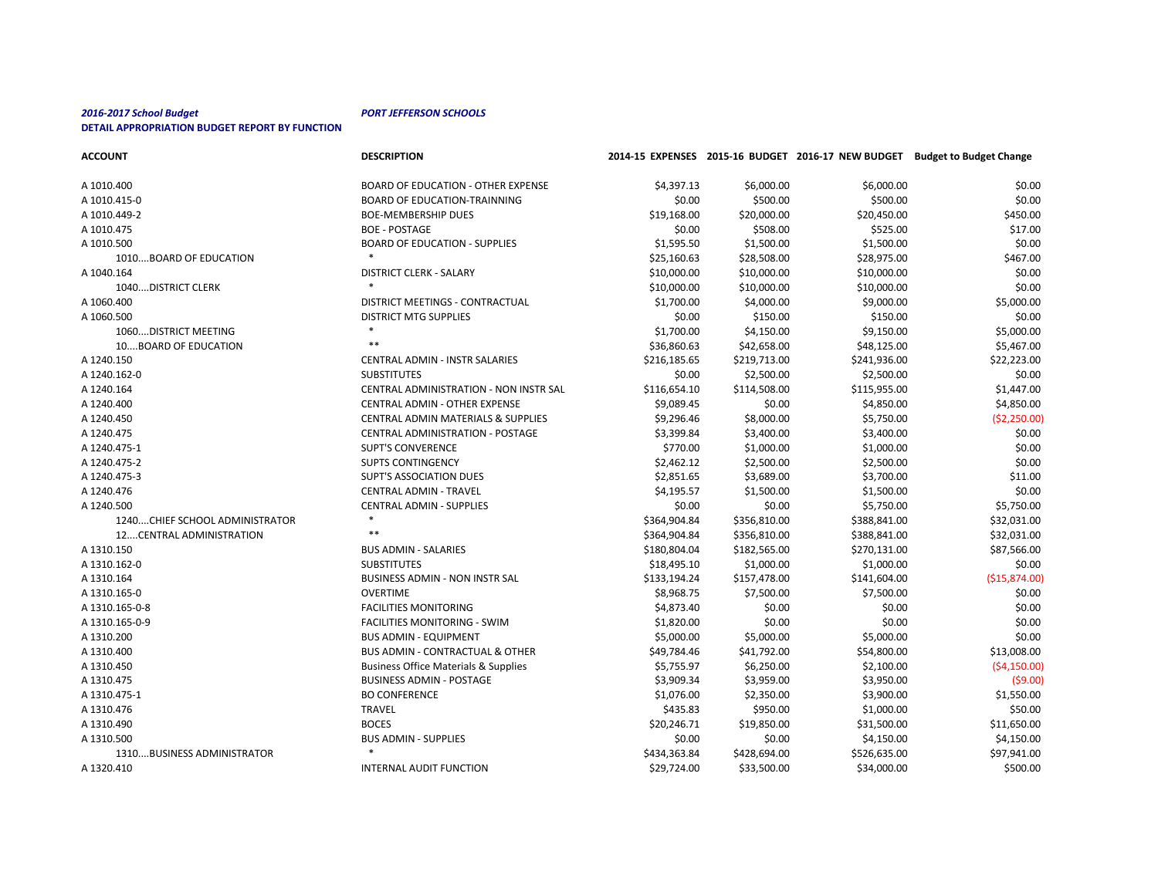| <b>ACCOUNT</b>                  | <b>DESCRIPTION</b>                              |              |              |              | 2014-15 EXPENSES 2015-16 BUDGET 2016-17 NEW BUDGET Budget to Budget Change |
|---------------------------------|-------------------------------------------------|--------------|--------------|--------------|----------------------------------------------------------------------------|
| A 1010.400                      | <b>BOARD OF EDUCATION - OTHER EXPENSE</b>       | \$4,397.13   | \$6,000.00   | \$6,000.00   | \$0.00                                                                     |
| A 1010.415-0                    | <b>BOARD OF EDUCATION-TRAINNING</b>             | \$0.00       | \$500.00     | \$500.00     | \$0.00                                                                     |
| A 1010.449-2                    | <b>BOE-MEMBERSHIP DUES</b>                      | \$19,168.00  | \$20,000.00  | \$20,450.00  | \$450.00                                                                   |
| A 1010.475                      | <b>BOE - POSTAGE</b>                            | \$0.00       | \$508.00     | \$525.00     | \$17.00                                                                    |
| A 1010.500                      | <b>BOARD OF EDUCATION - SUPPLIES</b>            | \$1,595.50   | \$1,500.00   | \$1,500.00   | \$0.00                                                                     |
| 1010BOARD OF EDUCATION          |                                                 | \$25,160.63  | \$28,508.00  | \$28,975.00  | \$467.00                                                                   |
| A 1040.164                      | <b>DISTRICT CLERK - SALARY</b>                  | \$10,000.00  | \$10,000.00  | \$10,000.00  | \$0.00                                                                     |
| 1040DISTRICT CLERK              | $\ast$                                          | \$10,000.00  | \$10,000.00  | \$10,000.00  | \$0.00                                                                     |
| A 1060.400                      | DISTRICT MEETINGS - CONTRACTUAL                 | \$1,700.00   | \$4,000.00   | \$9,000.00   | \$5,000.00                                                                 |
| A 1060.500                      | <b>DISTRICT MTG SUPPLIES</b>                    | \$0.00       | \$150.00     | \$150.00     | \$0.00                                                                     |
| 1060 DISTRICT MEETING           |                                                 | \$1,700.00   | \$4,150.00   | \$9,150.00   | \$5,000.00                                                                 |
| 10BOARD OF EDUCATION            | $***$                                           | \$36,860.63  | \$42,658.00  | \$48,125.00  | \$5,467.00                                                                 |
| A 1240.150                      | <b>CENTRAL ADMIN - INSTR SALARIES</b>           | \$216,185.65 | \$219,713.00 | \$241,936.00 | \$22,223.00                                                                |
| A 1240.162-0                    | <b>SUBSTITUTES</b>                              | \$0.00       | \$2,500.00   | \$2,500.00   | \$0.00                                                                     |
| A 1240.164                      | <b>CENTRAL ADMINISTRATION - NON INSTR SAL</b>   | \$116,654.10 | \$114,508.00 | \$115,955.00 | \$1,447.00                                                                 |
| A 1240.400                      | <b>CENTRAL ADMIN - OTHER EXPENSE</b>            | \$9,089.45   | \$0.00       | \$4,850.00   | \$4,850.00                                                                 |
| A 1240.450                      | <b>CENTRAL ADMIN MATERIALS &amp; SUPPLIES</b>   | \$9,296.46   | \$8,000.00   | \$5,750.00   | (52, 250.00)                                                               |
| A 1240.475                      | <b>CENTRAL ADMINISTRATION - POSTAGE</b>         | \$3,399.84   | \$3,400.00   | \$3,400.00   | \$0.00                                                                     |
| A 1240.475-1                    | <b>SUPT'S CONVERENCE</b>                        | \$770.00     | \$1,000.00   | \$1,000.00   | \$0.00                                                                     |
| A 1240.475-2                    | <b>SUPTS CONTINGENCY</b>                        | \$2,462.12   | \$2,500.00   | \$2,500.00   | \$0.00                                                                     |
| A 1240.475-3                    | <b>SUPT'S ASSOCIATION DUES</b>                  | \$2,851.65   | \$3,689.00   | \$3,700.00   | \$11.00                                                                    |
| A 1240.476                      | <b>CENTRAL ADMIN - TRAVEL</b>                   | \$4,195.57   | \$1,500.00   | \$1,500.00   | \$0.00                                                                     |
| A 1240.500                      | <b>CENTRAL ADMIN - SUPPLIES</b>                 | \$0.00       | \$0.00       | \$5,750.00   | \$5,750.00                                                                 |
| 1240 CHIEF SCHOOL ADMINISTRATOR |                                                 | \$364,904.84 | \$356,810.00 | \$388,841.00 | \$32,031.00                                                                |
| 12CENTRAL ADMINISTRATION        | $***$                                           | \$364,904.84 | \$356,810.00 | \$388,841.00 | \$32,031.00                                                                |
| A 1310.150                      | <b>BUS ADMIN - SALARIES</b>                     | \$180,804.04 | \$182,565.00 | \$270,131.00 | \$87,566.00                                                                |
| A 1310.162-0                    | <b>SUBSTITUTES</b>                              | \$18,495.10  | \$1,000.00   | \$1,000.00   | \$0.00                                                                     |
| A 1310.164                      | <b>BUSINESS ADMIN - NON INSTR SAL</b>           | \$133,194.24 | \$157,478.00 | \$141,604.00 | (\$15,874.00)                                                              |
| A 1310.165-0                    | <b>OVERTIME</b>                                 | \$8,968.75   | \$7,500.00   | \$7,500.00   | \$0.00                                                                     |
| A 1310.165-0-8                  | <b>FACILITIES MONITORING</b>                    | \$4,873.40   | \$0.00       | \$0.00       | \$0.00                                                                     |
| A 1310.165-0-9                  | <b>FACILITIES MONITORING - SWIM</b>             | \$1,820.00   | \$0.00       | \$0.00       | \$0.00                                                                     |
| A 1310.200                      | <b>BUS ADMIN - EQUIPMENT</b>                    | \$5,000.00   | \$5,000.00   | \$5,000.00   | \$0.00                                                                     |
| A 1310.400                      | <b>BUS ADMIN - CONTRACTUAL &amp; OTHER</b>      | \$49,784.46  | \$41,792.00  | \$54,800.00  | \$13,008.00                                                                |
| A 1310.450                      | <b>Business Office Materials &amp; Supplies</b> | \$5,755.97   | \$6,250.00   | \$2,100.00   | (54, 150.00)                                                               |
| A 1310.475                      | <b>BUSINESS ADMIN - POSTAGE</b>                 | \$3,909.34   | \$3,959.00   | \$3,950.00   | (59.00)                                                                    |
| A 1310.475-1                    | <b>BO CONFERENCE</b>                            | \$1,076.00   | \$2,350.00   | \$3,900.00   | \$1,550.00                                                                 |
| A 1310.476                      | <b>TRAVEL</b>                                   | \$435.83     | \$950.00     | \$1,000.00   | \$50.00                                                                    |
| A 1310.490                      | <b>BOCES</b>                                    | \$20,246.71  | \$19,850.00  | \$31,500.00  | \$11,650.00                                                                |
| A 1310.500                      | <b>BUS ADMIN - SUPPLIES</b>                     | \$0.00       | \$0.00       | \$4,150.00   | \$4,150.00                                                                 |
| 1310BUSINESS ADMINISTRATOR      | $\ast$                                          | \$434,363.84 | \$428,694.00 | \$526,635.00 | \$97,941.00                                                                |
| A 1320.410                      | INTERNAL AUDIT FUNCTION                         | \$29,724.00  | \$33,500.00  | \$34,000.00  | \$500.00                                                                   |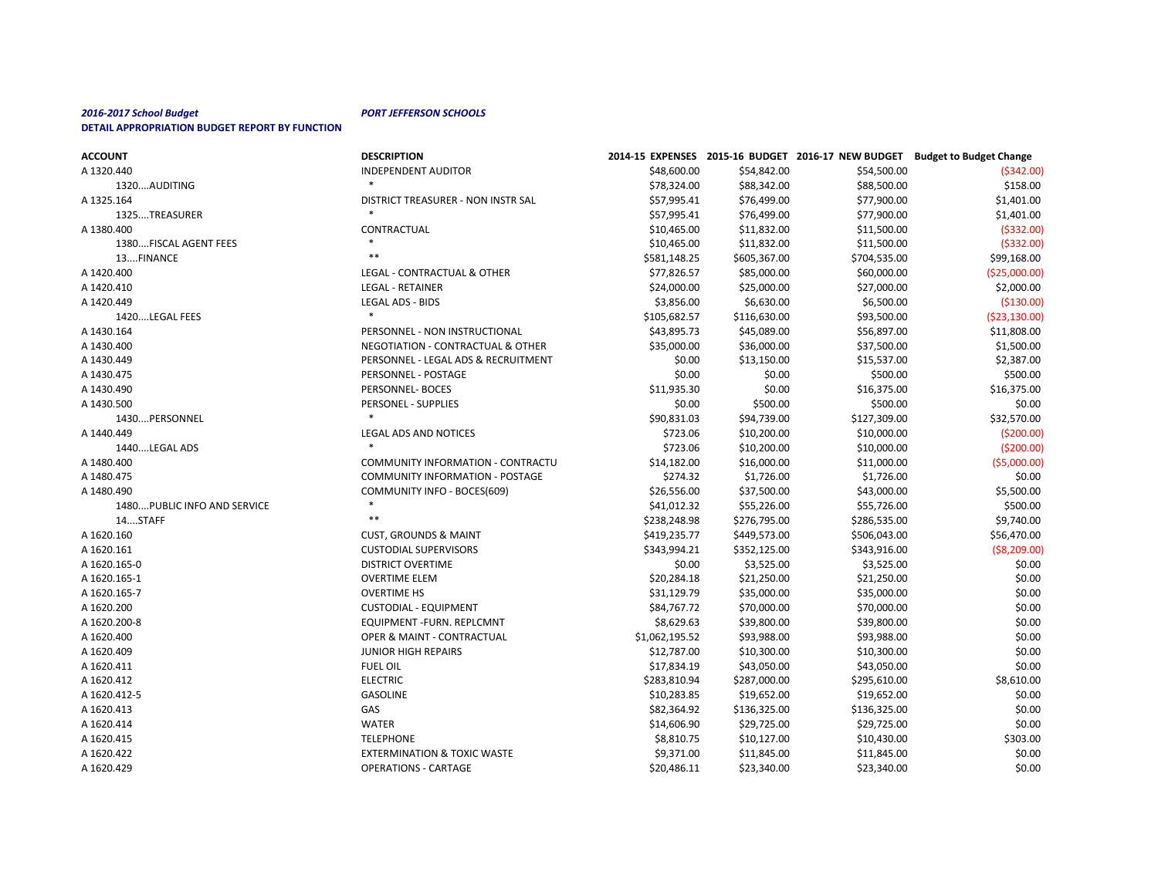# *2016-2017 School Budget PORT JEFFERSON SCHOOLS*

| <b>DETAIL APPROPRIATION BUDGET REPORT BY FUNCTION</b> |
|-------------------------------------------------------|
|-------------------------------------------------------|

| <b>ACCOUNT</b>               | <b>DESCRIPTION</b>                     |                |              |              | 2014-15 EXPENSES 2015-16 BUDGET 2016-17 NEW BUDGET Budget to Budget Change |
|------------------------------|----------------------------------------|----------------|--------------|--------------|----------------------------------------------------------------------------|
| A 1320.440                   | <b>INDEPENDENT AUDITOR</b>             | \$48,600.00    | \$54,842.00  | \$54,500.00  | ( \$342.00]                                                                |
| 1320AUDITING                 |                                        | \$78,324.00    | \$88,342.00  | \$88,500.00  | \$158.00                                                                   |
| A 1325.164                   | DISTRICT TREASURER - NON INSTR SAL     | \$57,995.41    | \$76,499.00  | \$77,900.00  | \$1,401.00                                                                 |
| 1325TREASURER                |                                        | \$57,995.41    | \$76,499.00  | \$77,900.00  | \$1,401.00                                                                 |
| A 1380.400                   | CONTRACTUAL                            | \$10,465.00    | \$11,832.00  | \$11,500.00  | ( \$332.00]                                                                |
| 1380FISCAL AGENT FEES        |                                        | \$10,465.00    | \$11,832.00  | \$11,500.00  | ( \$332.00]                                                                |
| 13FINANCE                    | $***$                                  | \$581,148.25   | \$605,367.00 | \$704,535.00 | \$99,168.00                                                                |
| A 1420.400                   | LEGAL - CONTRACTUAL & OTHER            | \$77,826.57    | \$85,000.00  | \$60,000.00  | ( \$25,000.00]                                                             |
| A 1420.410                   | <b>LEGAL - RETAINER</b>                | \$24,000.00    | \$25,000.00  | \$27,000.00  | \$2,000.00                                                                 |
| A 1420.449                   | LEGAL ADS - BIDS                       | \$3,856.00     | \$6,630.00   | \$6,500.00   | ( \$130.00]                                                                |
| 1420LEGAL FEES               |                                        | \$105,682.57   | \$116,630.00 | \$93,500.00  | ( \$23,130.00]                                                             |
| A 1430.164                   | PERSONNEL - NON INSTRUCTIONAL          | \$43,895.73    | \$45,089.00  | \$56,897.00  | \$11,808.00                                                                |
| A 1430.400                   | NEGOTIATION - CONTRACTUAL & OTHER      | \$35,000.00    | \$36,000.00  | \$37,500.00  | \$1,500.00                                                                 |
| A 1430.449                   | PERSONNEL - LEGAL ADS & RECRUITMENT    | \$0.00         | \$13,150.00  | \$15,537.00  | \$2,387.00                                                                 |
| A 1430.475                   | PERSONNEL - POSTAGE                    | \$0.00         | \$0.00       | \$500.00     | \$500.00                                                                   |
| A 1430.490                   | PERSONNEL- BOCES                       | \$11,935.30    | \$0.00       | \$16,375.00  | \$16,375.00                                                                |
| A 1430.500                   | PERSONEL - SUPPLIES                    | \$0.00         | \$500.00     | \$500.00     | \$0.00                                                                     |
| 1430PERSONNEL                |                                        | \$90,831.03    | \$94,739.00  | \$127,309.00 | \$32,570.00                                                                |
| A 1440.449                   | <b>LEGAL ADS AND NOTICES</b>           | \$723.06       | \$10,200.00  | \$10,000.00  | (5200.00)                                                                  |
| 1440LEGAL ADS                | $\ast$                                 | \$723.06       | \$10,200.00  | \$10,000.00  | (5200.00)                                                                  |
| A 1480.400                   | COMMUNITY INFORMATION - CONTRACTU      | \$14,182.00    | \$16,000.00  | \$11,000.00  | ( \$5,000.00]                                                              |
| A 1480.475                   | <b>COMMUNITY INFORMATION - POSTAGE</b> | \$274.32       | \$1,726.00   | \$1,726.00   | \$0.00                                                                     |
| A 1480.490                   | <b>COMMUNITY INFO - BOCES(609)</b>     | \$26,556.00    | \$37,500.00  | \$43,000.00  | \$5,500.00                                                                 |
| 1480 PUBLIC INFO AND SERVICE |                                        | \$41,012.32    | \$55,226.00  | \$55,726.00  | \$500.00                                                                   |
| 14STAFF                      | $***$                                  | \$238,248.98   | \$276,795.00 | \$286,535.00 | \$9,740.00                                                                 |
| A 1620.160                   | <b>CUST, GROUNDS &amp; MAINT</b>       | \$419,235.77   | \$449,573.00 | \$506,043.00 | \$56,470.00                                                                |
| A 1620.161                   | <b>CUSTODIAL SUPERVISORS</b>           | \$343,994.21   | \$352,125.00 | \$343,916.00 | ( \$8, 209.00)                                                             |
| A 1620.165-0                 | DISTRICT OVERTIME                      | \$0.00         | \$3,525.00   | \$3,525.00   | \$0.00                                                                     |
| A 1620.165-1                 | <b>OVERTIME ELEM</b>                   | \$20,284.18    | \$21,250.00  | \$21,250.00  | \$0.00                                                                     |
| A 1620.165-7                 | <b>OVERTIME HS</b>                     | \$31,129.79    | \$35,000.00  | \$35,000.00  | \$0.00                                                                     |
| A 1620.200                   | <b>CUSTODIAL - EQUIPMENT</b>           | \$84,767.72    | \$70,000.00  | \$70,000.00  | \$0.00                                                                     |
| A 1620.200-8                 | EQUIPMENT - FURN. REPLCMNT             | \$8,629.63     | \$39,800.00  | \$39,800.00  | \$0.00                                                                     |
| A 1620.400                   | OPER & MAINT - CONTRACTUAL             | \$1,062,195.52 | \$93,988.00  | \$93,988.00  | \$0.00                                                                     |
| A 1620.409                   | <b>JUNIOR HIGH REPAIRS</b>             | \$12,787.00    | \$10,300.00  | \$10,300.00  | \$0.00                                                                     |
| A 1620.411                   | <b>FUEL OIL</b>                        | \$17,834.19    | \$43,050.00  | \$43,050.00  | \$0.00                                                                     |
| A 1620.412                   | <b>ELECTRIC</b>                        | \$283,810.94   | \$287,000.00 | \$295,610.00 | \$8,610.00                                                                 |
| A 1620.412-5                 | <b>GASOLINE</b>                        | \$10,283.85    | \$19,652.00  | \$19,652.00  | \$0.00                                                                     |
| A 1620.413                   | GAS                                    | \$82,364.92    | \$136,325.00 | \$136,325.00 | \$0.00                                                                     |
| A 1620.414                   | <b>WATER</b>                           | \$14,606.90    | \$29,725.00  | \$29,725.00  | \$0.00                                                                     |
| A 1620.415                   | <b>TELEPHONE</b>                       | \$8,810.75     | \$10,127.00  | \$10,430.00  | \$303.00                                                                   |
| A 1620.422                   | <b>EXTERMINATION &amp; TOXIC WASTE</b> | \$9,371.00     | \$11,845.00  | \$11,845.00  | \$0.00                                                                     |
| A 1620.429                   | <b>OPERATIONS - CARTAGE</b>            | \$20,486.11    | \$23,340.00  | \$23,340.00  | \$0.00                                                                     |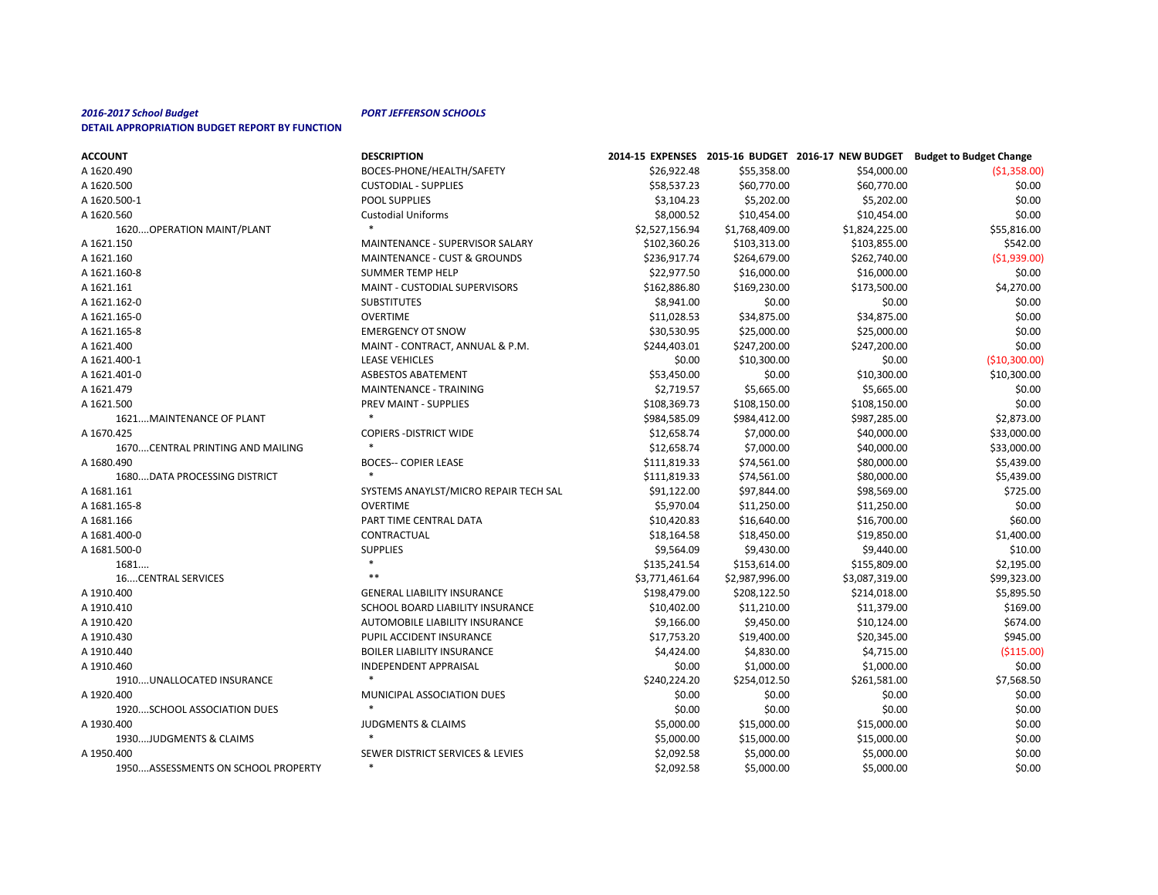| <b>ACCOUNT</b>                     | <b>DESCRIPTION</b>                      |                |                |                | 2014-15 EXPENSES 2015-16 BUDGET 2016-17 NEW BUDGET Budget to Budget Change |
|------------------------------------|-----------------------------------------|----------------|----------------|----------------|----------------------------------------------------------------------------|
| A 1620.490                         | BOCES-PHONE/HEALTH/SAFETY               | \$26,922.48    | \$55,358.00    | \$54,000.00    | ( \$1,358.00)                                                              |
| A 1620.500                         | <b>CUSTODIAL - SUPPLIES</b>             | \$58,537.23    | \$60,770.00    | \$60,770.00    | \$0.00                                                                     |
| A 1620.500-1                       | POOL SUPPLIES                           | \$3,104.23     | \$5,202.00     | \$5,202.00     | \$0.00                                                                     |
| A 1620.560                         | <b>Custodial Uniforms</b>               | \$8,000.52     | \$10,454.00    | \$10,454.00    | \$0.00                                                                     |
| 1620 OPERATION MAINT/PLANT         |                                         | \$2,527,156.94 | \$1,768,409.00 | \$1,824,225.00 | \$55,816.00                                                                |
| A 1621.150                         | MAINTENANCE - SUPERVISOR SALARY         | \$102,360.26   | \$103,313.00   | \$103,855.00   | \$542.00                                                                   |
| A 1621.160                         | <b>MAINTENANCE - CUST &amp; GROUNDS</b> | \$236,917.74   | \$264,679.00   | \$262,740.00   | (51,939.00)                                                                |
| A 1621.160-8                       | <b>SUMMER TEMP HELP</b>                 | \$22,977.50    | \$16,000.00    | \$16,000.00    | \$0.00                                                                     |
| A 1621.161                         | MAINT - CUSTODIAL SUPERVISORS           | \$162,886.80   | \$169,230.00   | \$173,500.00   | \$4,270.00                                                                 |
| A 1621.162-0                       | <b>SUBSTITUTES</b>                      | \$8,941.00     | \$0.00         | \$0.00         | \$0.00                                                                     |
| A 1621.165-0                       | <b>OVERTIME</b>                         | \$11,028.53    | \$34,875.00    | \$34,875.00    | \$0.00                                                                     |
| A 1621.165-8                       | <b>EMERGENCY OT SNOW</b>                | \$30,530.95    | \$25,000.00    | \$25,000.00    | \$0.00                                                                     |
| A 1621.400                         | MAINT - CONTRACT, ANNUAL & P.M.         | \$244,403.01   | \$247,200.00   | \$247,200.00   | \$0.00                                                                     |
| A 1621.400-1                       | <b>LEASE VEHICLES</b>                   | \$0.00         | \$10,300.00    | \$0.00         | (\$10,300.00]                                                              |
| A 1621.401-0                       | <b>ASBESTOS ABATEMENT</b>               | \$53,450.00    | \$0.00         | \$10,300.00    | \$10,300.00                                                                |
| A 1621.479                         | MAINTENANCE - TRAINING                  | \$2,719.57     | \$5,665.00     | \$5,665.00     | \$0.00                                                                     |
| A 1621.500                         | PREV MAINT - SUPPLIES                   | \$108,369.73   | \$108,150.00   | \$108,150.00   | \$0.00                                                                     |
| 1621MAINTENANCE OF PLANT           |                                         | \$984,585.09   | \$984,412.00   | \$987,285.00   | \$2,873.00                                                                 |
| A 1670.425                         | <b>COPIERS - DISTRICT WIDE</b>          | \$12,658.74    | \$7,000.00     | \$40,000.00    | \$33,000.00                                                                |
| 1670CENTRAL PRINTING AND MAILING   | $\ast$                                  | \$12,658.74    | \$7,000.00     | \$40,000.00    | \$33,000.00                                                                |
| A 1680.490                         | <b>BOCES-- COPIER LEASE</b>             | \$111,819.33   | \$74,561.00    | \$80,000.00    | \$5,439.00                                                                 |
| 1680 DATA PROCESSING DISTRICT      |                                         | \$111,819.33   | \$74,561.00    | \$80,000.00    | \$5,439.00                                                                 |
| A 1681.161                         | SYSTEMS ANAYLST/MICRO REPAIR TECH SAL   | \$91,122.00    | \$97,844.00    | \$98,569.00    | \$725.00                                                                   |
| A 1681.165-8                       | <b>OVERTIME</b>                         | \$5,970.04     | \$11,250.00    | \$11,250.00    | \$0.00                                                                     |
| A 1681.166                         | PART TIME CENTRAL DATA                  | \$10,420.83    | \$16,640.00    | \$16,700.00    | \$60.00                                                                    |
| A 1681.400-0                       | CONTRACTUAL                             | \$18,164.58    | \$18,450.00    | \$19,850.00    | \$1,400.00                                                                 |
| A 1681.500-0                       | <b>SUPPLIES</b>                         | \$9,564.09     | \$9,430.00     | \$9,440.00     | \$10.00                                                                    |
| 1681                               | $\ast$                                  | \$135,241.54   | \$153,614.00   | \$155,809.00   | \$2,195.00                                                                 |
| <b>16CENTRAL SERVICES</b>          | $***$                                   | \$3,771,461.64 | \$2,987,996.00 | \$3,087,319.00 | \$99,323.00                                                                |
| A 1910.400                         | <b>GENERAL LIABILITY INSURANCE</b>      | \$198,479.00   | \$208,122.50   | \$214,018.00   | \$5,895.50                                                                 |
| A 1910.410                         | SCHOOL BOARD LIABILITY INSURANCE        | \$10,402.00    | \$11,210.00    | \$11,379.00    | \$169.00                                                                   |
| A 1910.420                         | <b>AUTOMOBILE LIABILITY INSURANCE</b>   | \$9,166.00     | \$9,450.00     | \$10,124.00    | \$674.00                                                                   |
| A 1910.430                         | PUPIL ACCIDENT INSURANCE                | \$17,753.20    | \$19,400.00    | \$20,345.00    | \$945.00                                                                   |
| A 1910.440                         | <b>BOILER LIABILITY INSURANCE</b>       | \$4,424.00     | \$4,830.00     | \$4,715.00     | ( \$115.00]                                                                |
| A 1910.460                         | <b>INDEPENDENT APPRAISAL</b>            | \$0.00         | \$1,000.00     | \$1,000.00     | \$0.00                                                                     |
| 1910UNALLOCATED INSURANCE          | $\ast$                                  | \$240,224.20   | \$254,012.50   | \$261,581.00   | \$7,568.50                                                                 |
| A 1920.400                         | MUNICIPAL ASSOCIATION DUES              | \$0.00         | \$0.00         | \$0.00         | \$0.00                                                                     |
| 1920SCHOOL ASSOCIATION DUES        | $\ast$                                  | \$0.00         | \$0.00         | \$0.00         | \$0.00                                                                     |
| A 1930.400                         | <b>JUDGMENTS &amp; CLAIMS</b>           | \$5,000.00     | \$15,000.00    | \$15,000.00    | \$0.00                                                                     |
| 1930JUDGMENTS & CLAIMS             |                                         | \$5,000.00     | \$15,000.00    | \$15,000.00    | \$0.00                                                                     |
| A 1950.400                         | SEWER DISTRICT SERVICES & LEVIES        | \$2,092.58     | \$5,000.00     | \$5,000.00     | \$0.00                                                                     |
| 1950ASSESSMENTS ON SCHOOL PROPERTY | $\ast$                                  | \$2,092.58     | \$5,000.00     | \$5,000.00     | \$0.00                                                                     |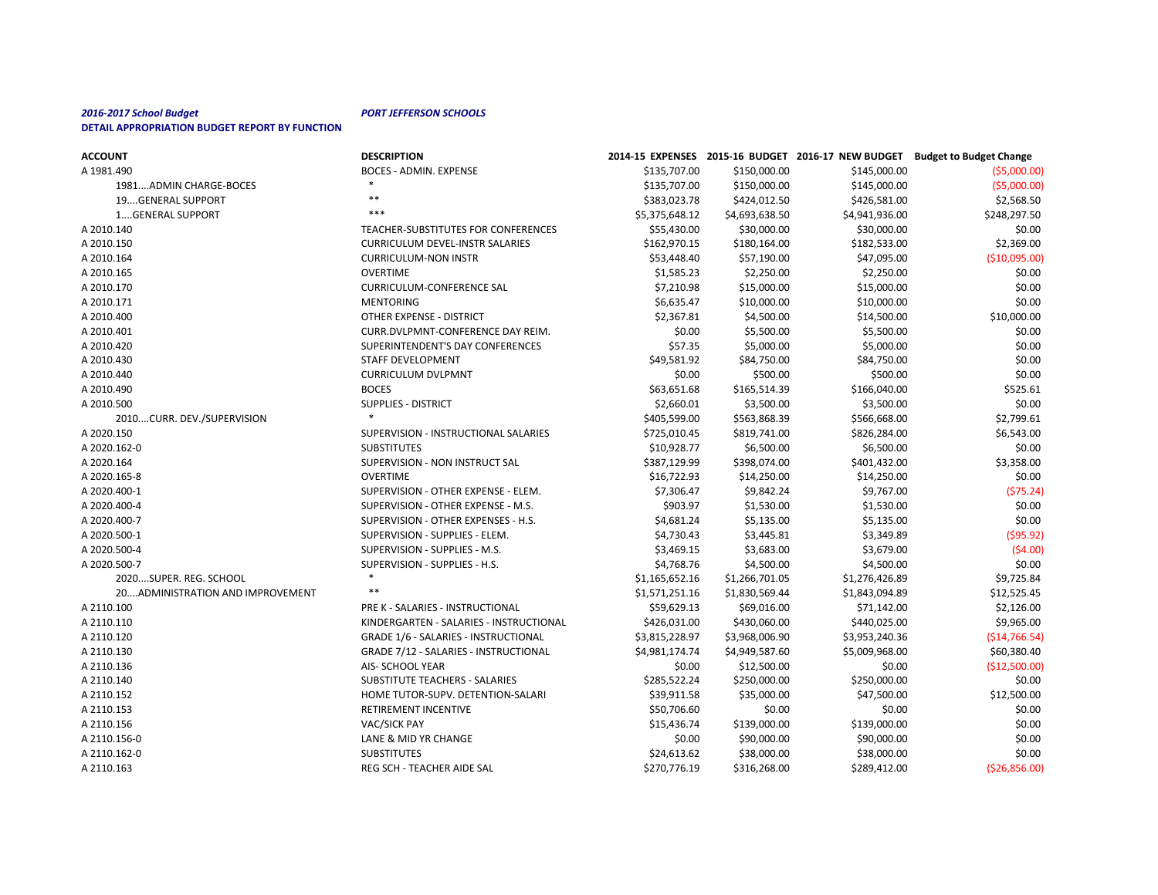| <b>ACCOUNT</b>                    | <b>DESCRIPTION</b>                           |                |                |                | 2014-15 EXPENSES 2015-16 BUDGET 2016-17 NEW BUDGET Budget to Budget Change |
|-----------------------------------|----------------------------------------------|----------------|----------------|----------------|----------------------------------------------------------------------------|
| A 1981.490                        | <b>BOCES - ADMIN. EXPENSE</b>                | \$135,707.00   | \$150,000.00   | \$145,000.00   | ( \$5,000.00]                                                              |
| 1981ADMIN CHARGE-BOCES            |                                              | \$135,707.00   | \$150,000.00   | \$145,000.00   | ( \$5,000.00]                                                              |
| 19GENERAL SUPPORT                 | $***$                                        | \$383,023.78   | \$424,012.50   | \$426,581.00   | \$2,568.50                                                                 |
| 1GENERAL SUPPORT                  | $***$                                        | \$5,375,648.12 | \$4,693,638.50 | \$4,941,936.00 | \$248,297.50                                                               |
| A 2010.140                        | TEACHER-SUBSTITUTES FOR CONFERENCES          | \$55,430.00    | \$30,000.00    | \$30,000.00    | \$0.00                                                                     |
| A 2010.150                        | <b>CURRICULUM DEVEL-INSTR SALARIES</b>       | \$162,970.15   | \$180,164.00   | \$182,533.00   | \$2,369.00                                                                 |
| A 2010.164                        | <b>CURRICULUM-NON INSTR</b>                  | \$53,448.40    | \$57,190.00    | \$47,095.00    | ( \$10,095.00]                                                             |
| A 2010.165                        | <b>OVERTIME</b>                              | \$1,585.23     | \$2,250.00     | \$2,250.00     | \$0.00                                                                     |
| A 2010.170                        | <b>CURRICULUM-CONFERENCE SAL</b>             | \$7,210.98     | \$15,000.00    | \$15,000.00    | \$0.00                                                                     |
| A 2010.171                        | <b>MENTORING</b>                             | \$6,635.47     | \$10,000.00    | \$10,000.00    | \$0.00                                                                     |
| A 2010.400                        | OTHER EXPENSE - DISTRICT                     | \$2,367.81     | \$4,500.00     | \$14,500.00    | \$10,000.00                                                                |
| A 2010.401                        | CURR.DVLPMNT-CONFERENCE DAY REIM.            | \$0.00         | \$5,500.00     | \$5,500.00     | \$0.00                                                                     |
| A 2010.420                        | SUPERINTENDENT'S DAY CONFERENCES             | \$57.35        | \$5,000.00     | \$5,000.00     | \$0.00                                                                     |
| A 2010.430                        | STAFF DEVELOPMENT                            | \$49,581.92    | \$84,750.00    | \$84,750.00    | \$0.00                                                                     |
| A 2010.440                        | <b>CURRICULUM DVLPMNT</b>                    | \$0.00         | \$500.00       | \$500.00       | \$0.00                                                                     |
| A 2010.490                        | <b>BOCES</b>                                 | \$63,651.68    | \$165,514.39   | \$166,040.00   | \$525.61                                                                   |
| A 2010.500                        | <b>SUPPLIES - DISTRICT</b>                   | \$2,660.01     | \$3,500.00     | \$3,500.00     | \$0.00                                                                     |
| 2010CURR. DEV./SUPERVISION        |                                              | \$405,599.00   | \$563,868.39   | \$566,668.00   | \$2,799.61                                                                 |
| A 2020.150                        | SUPERVISION - INSTRUCTIONAL SALARIES         | \$725,010.45   | \$819,741.00   | \$826,284.00   | \$6,543.00                                                                 |
| A 2020.162-0                      | <b>SUBSTITUTES</b>                           | \$10,928.77    | \$6,500.00     | \$6,500.00     | \$0.00                                                                     |
| A 2020.164                        | SUPERVISION - NON INSTRUCT SAL               | \$387,129.99   | \$398,074.00   | \$401,432.00   | \$3,358.00                                                                 |
| A 2020.165-8                      | <b>OVERTIME</b>                              | \$16,722.93    | \$14,250.00    | \$14,250.00    | \$0.00                                                                     |
| A 2020.400-1                      | SUPERVISION - OTHER EXPENSE - ELEM.          | \$7,306.47     | \$9,842.24     | \$9,767.00     | (575.24)                                                                   |
| A 2020.400-4                      | SUPERVISION - OTHER EXPENSE - M.S.           | \$903.97       | \$1,530.00     | \$1,530.00     | \$0.00                                                                     |
| A 2020.400-7                      | SUPERVISION - OTHER EXPENSES - H.S.          | \$4,681.24     | \$5,135.00     | \$5,135.00     | \$0.00                                                                     |
| A 2020.500-1                      | SUPERVISION - SUPPLIES - ELEM.               | \$4,730.43     | \$3,445.81     | \$3,349.89     | ( \$95.92)                                                                 |
| A 2020.500-4                      | SUPERVISION - SUPPLIES - M.S.                | \$3,469.15     | \$3,683.00     | \$3,679.00     | (54.00)                                                                    |
| A 2020.500-7                      | SUPERVISION - SUPPLIES - H.S.                | \$4,768.76     | \$4,500.00     | \$4,500.00     | \$0.00                                                                     |
| 2020SUPER. REG. SCHOOL            |                                              | \$1,165,652.16 | \$1,266,701.05 | \$1,276,426.89 | \$9,725.84                                                                 |
| 20 ADMINISTRATION AND IMPROVEMENT | $***$                                        | \$1,571,251.16 | \$1,830,569.44 | \$1,843,094.89 | \$12,525.45                                                                |
| A 2110.100                        | PRE K - SALARIES - INSTRUCTIONAL             | \$59,629.13    | \$69,016.00    | \$71,142.00    | \$2,126.00                                                                 |
| A 2110.110                        | KINDERGARTEN - SALARIES - INSTRUCTIONAL      | \$426,031.00   | \$430,060.00   | \$440,025.00   | \$9,965.00                                                                 |
| A 2110.120                        | <b>GRADE 1/6 - SALARIES - INSTRUCTIONAL</b>  | \$3,815,228.97 | \$3,968,006.90 | \$3,953,240.36 | ( \$14,766.54]                                                             |
| A 2110.130                        | <b>GRADE 7/12 - SALARIES - INSTRUCTIONAL</b> | \$4,981,174.74 | \$4,949,587.60 | \$5,009,968.00 | \$60,380.40                                                                |
| A 2110.136                        | AIS- SCHOOL YEAR                             | \$0.00         | \$12,500.00    | \$0.00         | (\$12,500.00]                                                              |
| A 2110.140                        | SUBSTITUTE TEACHERS - SALARIES               | \$285,522.24   | \$250,000.00   | \$250,000.00   | \$0.00                                                                     |
| A 2110.152                        | HOME TUTOR-SUPV. DETENTION-SALARI            | \$39,911.58    | \$35,000.00    | \$47,500.00    | \$12,500.00                                                                |
| A 2110.153                        | RETIREMENT INCENTIVE                         | \$50,706.60    | \$0.00         | \$0.00         | \$0.00                                                                     |
| A 2110.156                        | VAC/SICK PAY                                 | \$15,436.74    | \$139,000.00   | \$139,000.00   | \$0.00                                                                     |
| A 2110.156-0                      | LANE & MID YR CHANGE                         | \$0.00         | \$90,000.00    | \$90,000.00    | \$0.00                                                                     |
| A 2110.162-0                      | <b>SUBSTITUTES</b>                           | \$24,613.62    | \$38,000.00    | \$38,000.00    | \$0.00                                                                     |
| A 2110.163                        | REG SCH - TEACHER AIDE SAL                   | \$270,776.19   | \$316,268.00   | \$289,412.00   | ( \$26, 856.00]                                                            |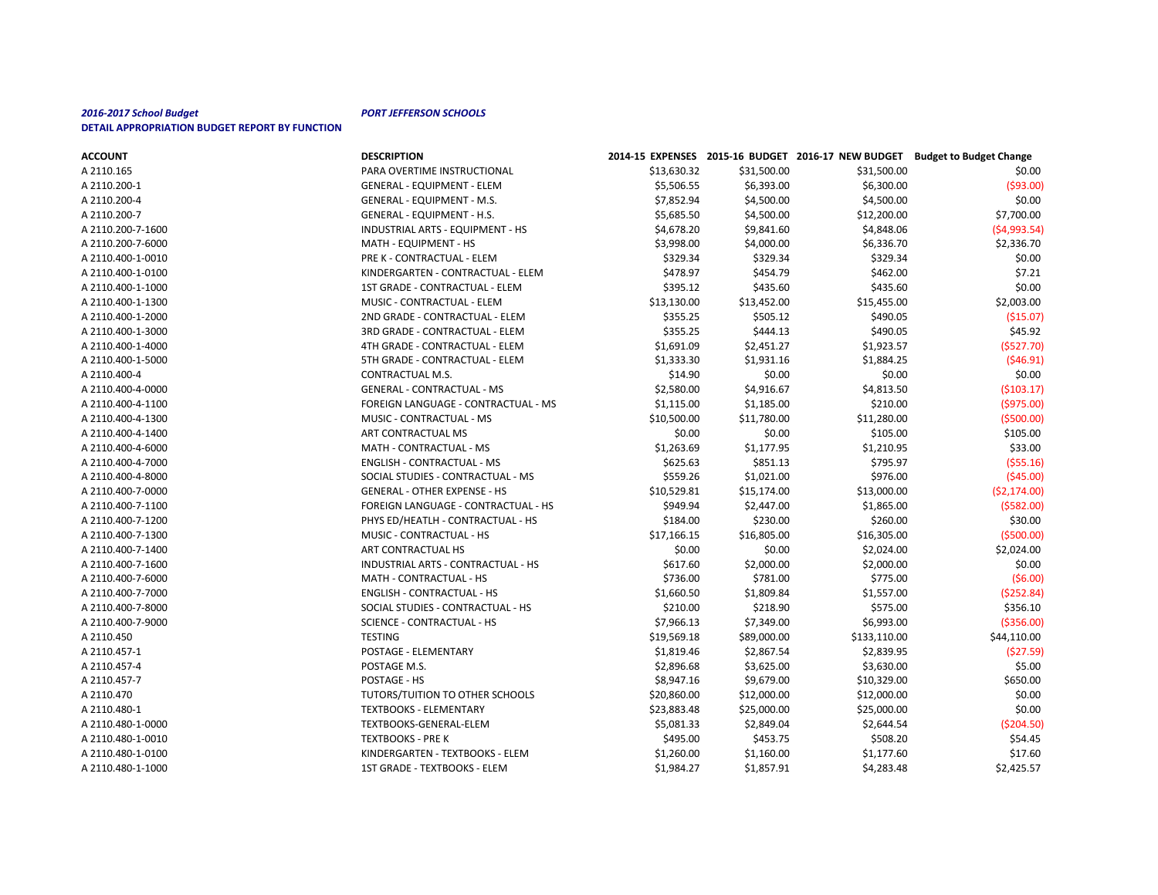| <b>ACCOUNT</b>    | <b>DESCRIPTION</b>                     |             |             |              | 2014-15 EXPENSES 2015-16 BUDGET 2016-17 NEW BUDGET Budget to Budget Change |
|-------------------|----------------------------------------|-------------|-------------|--------------|----------------------------------------------------------------------------|
| A 2110.165        | PARA OVERTIME INSTRUCTIONAL            | \$13,630.32 | \$31,500.00 | \$31,500.00  | \$0.00                                                                     |
| A 2110.200-1      | <b>GENERAL - EQUIPMENT - ELEM</b>      | \$5,506.55  | \$6,393.00  | \$6,300.00   | ( \$93.00)                                                                 |
| A 2110.200-4      | <b>GENERAL - EQUIPMENT - M.S.</b>      | \$7,852.94  | \$4,500.00  | \$4,500.00   | \$0.00                                                                     |
| A 2110.200-7      | GENERAL - EQUIPMENT - H.S.             | \$5,685.50  | \$4,500.00  | \$12,200.00  | \$7,700.00                                                                 |
| A 2110.200-7-1600 | INDUSTRIAL ARTS - EQUIPMENT - HS       | \$4,678.20  | \$9,841.60  | \$4,848.06   | (54,993.54)                                                                |
| A 2110.200-7-6000 | MATH - EQUIPMENT - HS                  | \$3,998.00  | \$4,000.00  | \$6,336.70   | \$2,336.70                                                                 |
| A 2110.400-1-0010 | PRE K - CONTRACTUAL - ELEM             | \$329.34    | \$329.34    | \$329.34     | \$0.00                                                                     |
| A 2110.400-1-0100 | KINDERGARTEN - CONTRACTUAL - ELEM      | \$478.97    | \$454.79    | \$462.00     | \$7.21                                                                     |
| A 2110.400-1-1000 | 1ST GRADE - CONTRACTUAL - ELEM         | \$395.12    | \$435.60    | \$435.60     | \$0.00                                                                     |
| A 2110.400-1-1300 | MUSIC - CONTRACTUAL - ELEM             | \$13,130.00 | \$13,452.00 | \$15,455.00  | \$2,003.00                                                                 |
| A 2110.400-1-2000 | 2ND GRADE - CONTRACTUAL - ELEM         | \$355.25    | \$505.12    | \$490.05     | ( \$15.07)                                                                 |
| A 2110.400-1-3000 | 3RD GRADE - CONTRACTUAL - ELEM         | \$355.25    | \$444.13    | \$490.05     | \$45.92                                                                    |
| A 2110.400-1-4000 | 4TH GRADE - CONTRACTUAL - ELEM         | \$1,691.09  | \$2,451.27  | \$1,923.57   | (5527.70)                                                                  |
| A 2110.400-1-5000 | 5TH GRADE - CONTRACTUAL - ELEM         | \$1,333.30  | \$1,931.16  | \$1,884.25   | (546.91)                                                                   |
| A 2110.400-4      | CONTRACTUAL M.S.                       | \$14.90     | \$0.00      | \$0.00       | \$0.00                                                                     |
| A 2110.400-4-0000 | <b>GENERAL - CONTRACTUAL - MS</b>      | \$2,580.00  | \$4,916.67  | \$4,813.50   | ( \$103.17]                                                                |
| A 2110.400-4-1100 | FOREIGN LANGUAGE - CONTRACTUAL - MS    | \$1,115.00  | \$1,185.00  | \$210.00     | (5975.00)                                                                  |
| A 2110.400-4-1300 | MUSIC - CONTRACTUAL - MS               | \$10,500.00 | \$11,780.00 | \$11,280.00  | ( \$500.00]                                                                |
| A 2110.400-4-1400 | ART CONTRACTUAL MS                     | \$0.00      | \$0.00      | \$105.00     | \$105.00                                                                   |
| A 2110.400-4-6000 | MATH - CONTRACTUAL - MS                | \$1,263.69  | \$1,177.95  | \$1,210.95   | \$33.00                                                                    |
| A 2110.400-4-7000 | <b>ENGLISH - CONTRACTUAL - MS</b>      | \$625.63    | \$851.13    | \$795.97     | (555.16)                                                                   |
| A 2110.400-4-8000 | SOCIAL STUDIES - CONTRACTUAL - MS      | \$559.26    | \$1,021.00  | \$976.00     | ( \$45.00]                                                                 |
| A 2110.400-7-0000 | <b>GENERAL - OTHER EXPENSE - HS</b>    | \$10,529.81 | \$15,174.00 | \$13,000.00  | (52, 174.00)                                                               |
| A 2110.400-7-1100 | FOREIGN LANGUAGE - CONTRACTUAL - HS    | \$949.94    | \$2,447.00  | \$1,865.00   | ( \$582.00]                                                                |
| A 2110.400-7-1200 | PHYS ED/HEATLH - CONTRACTUAL - HS      | \$184.00    | \$230.00    | \$260.00     | \$30.00                                                                    |
| A 2110.400-7-1300 | MUSIC - CONTRACTUAL - HS               | \$17,166.15 | \$16,805.00 | \$16,305.00  | (5500.00)                                                                  |
| A 2110.400-7-1400 | ART CONTRACTUAL HS                     | \$0.00      | \$0.00      | \$2,024.00   | \$2,024.00                                                                 |
| A 2110.400-7-1600 | INDUSTRIAL ARTS - CONTRACTUAL - HS     | \$617.60    | \$2,000.00  | \$2,000.00   | \$0.00                                                                     |
| A 2110.400-7-6000 | MATH - CONTRACTUAL - HS                | \$736.00    | \$781.00    | \$775.00     | (56.00)                                                                    |
| A 2110.400-7-7000 | <b>ENGLISH - CONTRACTUAL - HS</b>      | \$1,660.50  | \$1,809.84  | \$1,557.00   | (5252.84)                                                                  |
| A 2110.400-7-8000 | SOCIAL STUDIES - CONTRACTUAL - HS      | \$210.00    | \$218.90    | \$575.00     | \$356.10                                                                   |
| A 2110.400-7-9000 | <b>SCIENCE - CONTRACTUAL - HS</b>      | \$7,966.13  | \$7,349.00  | \$6,993.00   | ( \$356.00]                                                                |
| A 2110.450        | <b>TESTING</b>                         | \$19,569.18 | \$89,000.00 | \$133,110.00 | \$44,110.00                                                                |
| A 2110.457-1      | POSTAGE - ELEMENTARY                   | \$1,819.46  | \$2,867.54  | \$2,839.95   | (527.59)                                                                   |
| A 2110.457-4      | POSTAGE M.S.                           | \$2,896.68  | \$3,625.00  | \$3,630.00   | \$5.00                                                                     |
| A 2110.457-7      | POSTAGE - HS                           | \$8,947.16  | \$9,679.00  | \$10,329.00  | \$650.00                                                                   |
| A 2110.470        | <b>TUTORS/TUITION TO OTHER SCHOOLS</b> | \$20,860.00 | \$12,000.00 | \$12,000.00  | \$0.00                                                                     |
| A 2110.480-1      | <b>TEXTBOOKS - ELEMENTARY</b>          | \$23,883.48 | \$25,000.00 | \$25,000.00  | \$0.00                                                                     |
| A 2110.480-1-0000 | TEXTBOOKS-GENERAL-ELEM                 | \$5,081.33  | \$2,849.04  | \$2,644.54   | ( \$204.50]                                                                |
| A 2110.480-1-0010 | <b>TEXTBOOKS - PRE K</b>               | \$495.00    | \$453.75    | \$508.20     | \$54.45                                                                    |
| A 2110.480-1-0100 | KINDERGARTEN - TEXTBOOKS - ELEM        | \$1,260.00  | \$1,160.00  | \$1,177.60   | \$17.60                                                                    |
| A 2110.480-1-1000 | 1ST GRADE - TEXTBOOKS - ELEM           | \$1,984.27  | \$1,857.91  | \$4,283.48   | \$2,425.57                                                                 |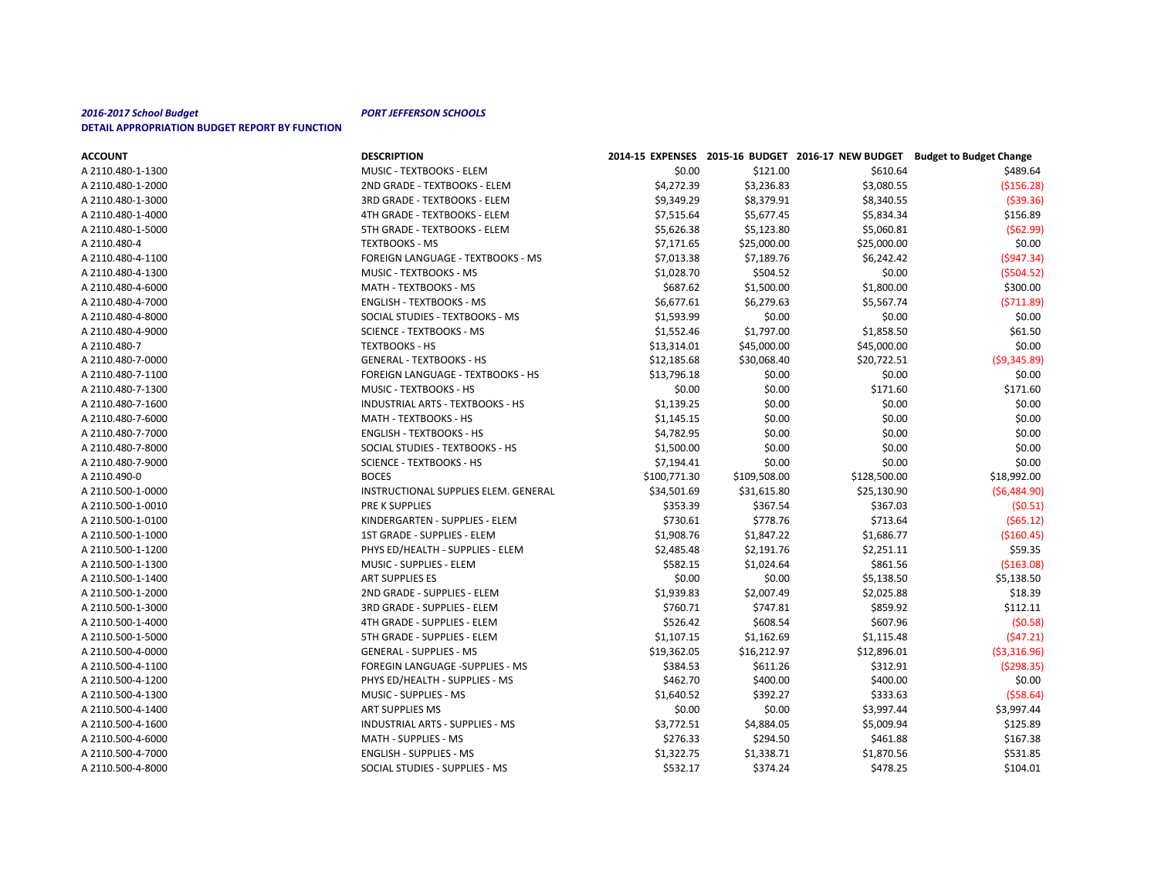| <b>ACCOUNT</b>    | <b>DESCRIPTION</b>                       |              |              |              | 2014-15 EXPENSES 2015-16 BUDGET 2016-17 NEW BUDGET Budget to Budget Change |
|-------------------|------------------------------------------|--------------|--------------|--------------|----------------------------------------------------------------------------|
| A 2110.480-1-1300 | MUSIC - TEXTBOOKS - ELEM                 | \$0.00       | \$121.00     | \$610.64     | \$489.64                                                                   |
| A 2110.480-1-2000 | 2ND GRADE - TEXTBOOKS - ELEM             | \$4,272.39   | \$3,236.83   | \$3,080.55   | ( \$156.28]                                                                |
| A 2110.480-1-3000 | 3RD GRADE - TEXTBOOKS - ELEM             | \$9,349.29   | \$8,379.91   | \$8,340.55   | ( \$39.36)                                                                 |
| A 2110.480-1-4000 | 4TH GRADE - TEXTBOOKS - ELEM             | \$7,515.64   | \$5,677.45   | \$5,834.34   | \$156.89                                                                   |
| A 2110.480-1-5000 | 5TH GRADE - TEXTBOOKS - ELEM             | \$5,626.38   | \$5,123.80   | \$5,060.81   | (562.99)                                                                   |
| A 2110.480-4      | <b>TEXTBOOKS - MS</b>                    | \$7,171.65   | \$25,000.00  | \$25,000.00  | \$0.00                                                                     |
| A 2110.480-4-1100 | <b>FOREIGN LANGUAGE - TEXTBOOKS - MS</b> | \$7,013.38   | \$7,189.76   | \$6,242.42   | (5947.34)                                                                  |
| A 2110.480-4-1300 | MUSIC - TEXTBOOKS - MS                   | \$1,028.70   | \$504.52     | \$0.00       | (5504.52)                                                                  |
| A 2110.480-4-6000 | MATH - TEXTBOOKS - MS                    | \$687.62     | \$1,500.00   | \$1,800.00   | \$300.00                                                                   |
| A 2110.480-4-7000 | <b>ENGLISH - TEXTBOOKS - MS</b>          | \$6,677.61   | \$6,279.63   | \$5,567.74   | (5711.89)                                                                  |
| A 2110.480-4-8000 | SOCIAL STUDIES - TEXTBOOKS - MS          | \$1,593.99   | \$0.00       | \$0.00       | \$0.00                                                                     |
| A 2110.480-4-9000 | <b>SCIENCE - TEXTBOOKS - MS</b>          | \$1,552.46   | \$1,797.00   | \$1,858.50   | \$61.50                                                                    |
| A 2110.480-7      | <b>TEXTBOOKS - HS</b>                    | \$13,314.01  | \$45,000.00  | \$45,000.00  | \$0.00                                                                     |
| A 2110.480-7-0000 | <b>GENERAL - TEXTBOOKS - HS</b>          | \$12,185.68  | \$30,068.40  | \$20,722.51  | (59, 345.89)                                                               |
| A 2110.480-7-1100 | <b>FOREIGN LANGUAGE - TEXTBOOKS - HS</b> | \$13,796.18  | \$0.00       | \$0.00       | \$0.00                                                                     |
| A 2110.480-7-1300 | MUSIC - TEXTBOOKS - HS                   | \$0.00       | \$0.00       | \$171.60     | \$171.60                                                                   |
| A 2110.480-7-1600 | <b>INDUSTRIAL ARTS - TEXTBOOKS - HS</b>  | \$1,139.25   | \$0.00       | \$0.00       | \$0.00                                                                     |
| A 2110.480-7-6000 | MATH - TEXTBOOKS - HS                    | \$1,145.15   | \$0.00       | \$0.00       | \$0.00                                                                     |
| A 2110.480-7-7000 | <b>ENGLISH - TEXTBOOKS - HS</b>          | \$4,782.95   | \$0.00       | \$0.00       | \$0.00                                                                     |
| A 2110.480-7-8000 | SOCIAL STUDIES - TEXTBOOKS - HS          | \$1,500.00   | \$0.00       | \$0.00       | \$0.00                                                                     |
| A 2110.480-7-9000 | <b>SCIENCE - TEXTBOOKS - HS</b>          | \$7,194.41   | \$0.00       | \$0.00       | \$0.00                                                                     |
| A 2110.490-0      | <b>BOCES</b>                             | \$100,771.30 | \$109,508.00 | \$128,500.00 | \$18,992.00                                                                |
| A 2110.500-1-0000 | INSTRUCTIONAL SUPPLIES ELEM. GENERAL     | \$34,501.69  | \$31,615.80  | \$25,130.90  | (56, 484.90)                                                               |
| A 2110.500-1-0010 | <b>PRE K SUPPLIES</b>                    | \$353.39     | \$367.54     | \$367.03     | (50.51)                                                                    |
| A 2110.500-1-0100 | KINDERGARTEN - SUPPLIES - ELEM           | \$730.61     | \$778.76     | \$713.64     | (565.12)                                                                   |
| A 2110.500-1-1000 | 1ST GRADE - SUPPLIES - ELEM              | \$1,908.76   | \$1,847.22   | \$1,686.77   | ( \$160.45]                                                                |
| A 2110.500-1-1200 | PHYS ED/HEALTH - SUPPLIES - ELEM         | \$2,485.48   | \$2,191.76   | \$2,251.11   | \$59.35                                                                    |
| A 2110.500-1-1300 | MUSIC - SUPPLIES - ELEM                  | \$582.15     | \$1,024.64   | \$861.56     | ( \$163.08)                                                                |

| 0000 1 0000 1 000 | <u>JULINUL TEATDOURJ TIJ</u>         | 77. <del>197.71</del> | YU.UU        | YU.UU        | O.OU          |
|-------------------|--------------------------------------|-----------------------|--------------|--------------|---------------|
| A 2110.490-0      | <b>BOCES</b>                         | \$100,771.30          | \$109,508.00 | \$128,500.00 | \$18,992.00   |
| A 2110.500-1-0000 | INSTRUCTIONAL SUPPLIES ELEM. GENERAL | \$34,501.69           | \$31,615.80  | \$25,130.90  | (56,484.90)   |
| A 2110.500-1-0010 | <b>PRE K SUPPLIES</b>                | \$353.39              | \$367.54     | \$367.03     | (50.51)       |
| A 2110.500-1-0100 | KINDERGARTEN - SUPPLIES - ELEM       | \$730.61              | \$778.76     | \$713.64     | (565.12)      |
| A 2110.500-1-1000 | 1ST GRADE - SUPPLIES - ELEM          | \$1,908.76            | \$1,847.22   | \$1,686.77   | ( \$160.45)   |
| A 2110.500-1-1200 | PHYS ED/HEALTH - SUPPLIES - ELEM     | \$2,485.48            | \$2,191.76   | \$2,251.11   | \$59.35       |
| A 2110.500-1-1300 | MUSIC - SUPPLIES - ELEM              | \$582.15              | \$1,024.64   | \$861.56     | ( \$163.08)   |
| A 2110.500-1-1400 | ART SUPPLIES ES                      | \$0.00                | \$0.00       | \$5,138.50   | \$5,138.50    |
| A 2110.500-1-2000 | 2ND GRADE - SUPPLIES - ELEM          | \$1,939.83            | \$2,007.49   | \$2,025.88   | \$18.39       |
| A 2110.500-1-3000 | 3RD GRADE - SUPPLIES - ELEM          | \$760.71              | \$747.81     | \$859.92     | \$112.11      |
| A 2110.500-1-4000 | 4TH GRADE - SUPPLIES - ELEM          | \$526.42              | \$608.54     | \$607.96     | (50.58)       |
| A 2110.500-1-5000 | 5TH GRADE - SUPPLIES - ELEM          | \$1,107.15            | \$1,162.69   | \$1,115.48   | (547.21)      |
| A 2110.500-4-0000 | <b>GENERAL - SUPPLIES - MS</b>       | \$19,362.05           | \$16,212.97  | \$12,896.01  | ( \$3,316.96) |
| A 2110.500-4-1100 | FOREGIN LANGUAGE -SUPPLIES - MS      | \$384.53              | \$611.26     | \$312.91     | (5298.35)     |
| A 2110.500-4-1200 | PHYS ED/HEALTH - SUPPLIES - MS       | \$462.70              | \$400.00     | \$400.00     | \$0.00        |
| A 2110.500-4-1300 | MUSIC - SUPPLIES - MS                | \$1,640.52            | \$392.27     | \$333.63     | (558.64)      |
| A 2110.500-4-1400 | ART SUPPLIES MS                      | \$0.00                | \$0.00       | \$3,997.44   | \$3,997.44    |
|                   |                                      |                       |              |              |               |

A 2110.500-4-1600 CHA CHARTS - SUPPLIES - MS \$3,772.51 \$4,884.05 \$5,009.94 \$125.89 A 2110.500-4-6000 MATH - SUPPLIES - MS \$276.33 \$294.50 \$461.88 \$167.38 A 2110.500-4-7000 ENGLISH - SUPPLIES - MS \$1,322.75 \$1,338.71 \$1,870.56 \$531.85 A 2110.500-4-8000 COLORGIAL STUDIES - SUPPLIES - MS \$532.17 \$374.24 \$478.25 \$478.25 \$104.01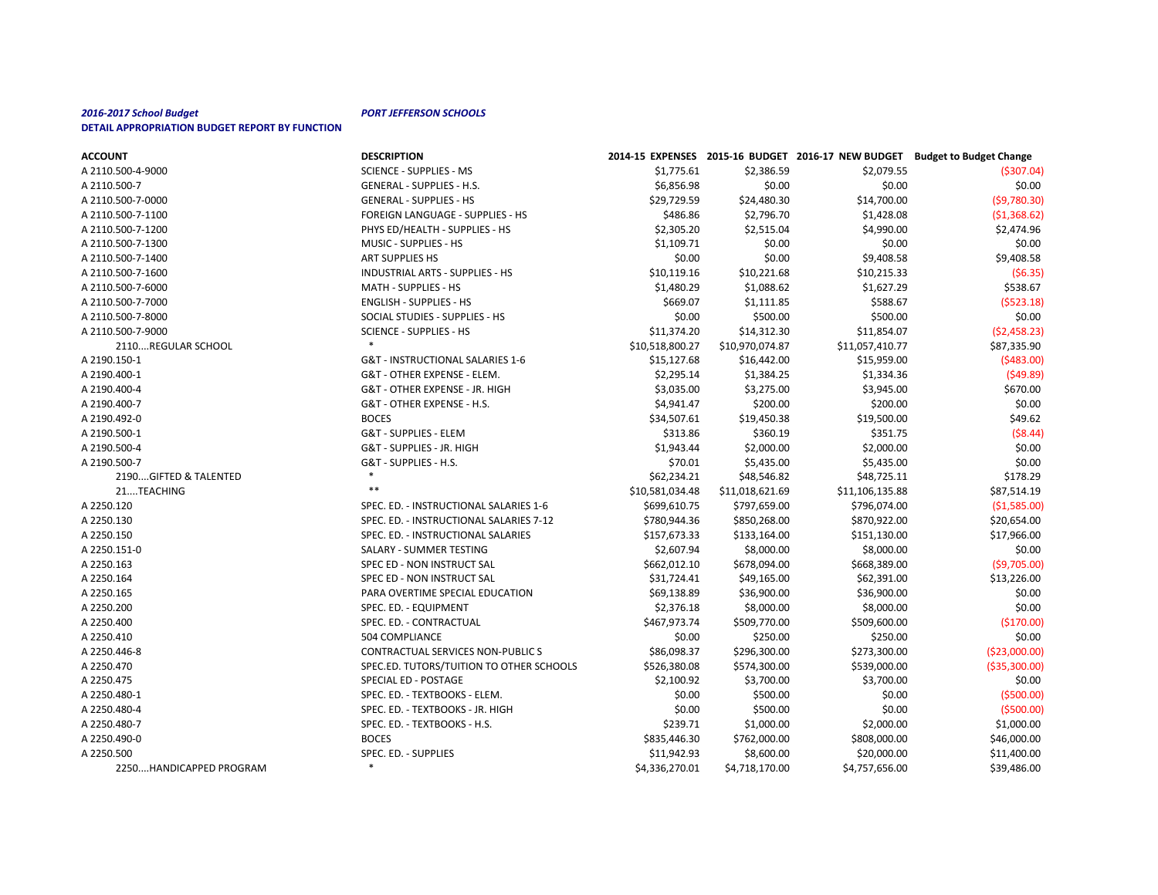| <b>ACCOUNT</b>          | <b>DESCRIPTION</b>                       |                 |                 |                 | 2014-15 EXPENSES 2015-16 BUDGET 2016-17 NEW BUDGET Budget to Budget Change |
|-------------------------|------------------------------------------|-----------------|-----------------|-----------------|----------------------------------------------------------------------------|
| A 2110.500-4-9000       | <b>SCIENCE - SUPPLIES - MS</b>           | \$1,775.61      | \$2,386.59      | \$2,079.55      | ( \$307.04)                                                                |
| A 2110.500-7            | <b>GENERAL - SUPPLIES - H.S.</b>         | \$6,856.98      | \$0.00          | \$0.00          | \$0.00                                                                     |
| A 2110.500-7-0000       | <b>GENERAL - SUPPLIES - HS</b>           | \$29,729.59     | \$24,480.30     | \$14,700.00     | (59,780.30)                                                                |
| A 2110.500-7-1100       | FOREIGN LANGUAGE - SUPPLIES - HS         | \$486.86        | \$2,796.70      | \$1,428.08      | (51,368.62)                                                                |
| A 2110.500-7-1200       | PHYS ED/HEALTH - SUPPLIES - HS           | \$2,305.20      | \$2,515.04      | \$4,990.00      | \$2,474.96                                                                 |
| A 2110.500-7-1300       | MUSIC - SUPPLIES - HS                    | \$1,109.71      | \$0.00          | \$0.00          | \$0.00                                                                     |
| A 2110.500-7-1400       | ART SUPPLIES HS                          | \$0.00          | \$0.00          | \$9,408.58      | \$9,408.58                                                                 |
| A 2110.500-7-1600       | INDUSTRIAL ARTS - SUPPLIES - HS          | \$10,119.16     | \$10,221.68     | \$10,215.33     | (56.35)                                                                    |
| A 2110.500-7-6000       | MATH - SUPPLIES - HS                     | \$1,480.29      | \$1,088.62      | \$1,627.29      | \$538.67                                                                   |
| A 2110.500-7-7000       | <b>ENGLISH - SUPPLIES - HS</b>           | \$669.07        | \$1,111.85      | \$588.67        | (5523.18)                                                                  |
| A 2110.500-7-8000       | SOCIAL STUDIES - SUPPLIES - HS           | \$0.00          | \$500.00        | \$500.00        | \$0.00                                                                     |
| A 2110.500-7-9000       | <b>SCIENCE - SUPPLIES - HS</b>           | \$11,374.20     | \$14,312.30     | \$11,854.07     | (52, 458.23)                                                               |
| 2110REGULAR SCHOOL      |                                          | \$10,518,800.27 | \$10,970,074.87 | \$11,057,410.77 | \$87,335.90                                                                |
| A 2190.150-1            | G&T - INSTRUCTIONAL SALARIES 1-6         | \$15,127.68     | \$16,442.00     | \$15,959.00     | (\$483.00)                                                                 |
| A 2190.400-1            | G&T - OTHER EXPENSE - ELEM.              | \$2,295.14      | \$1,384.25      | \$1,334.36      | (549.89)                                                                   |
| A 2190.400-4            | G&T - OTHER EXPENSE - JR. HIGH           | \$3,035.00      | \$3,275.00      | \$3,945.00      | \$670.00                                                                   |
| A 2190.400-7            | G&T - OTHER EXPENSE - H.S.               | \$4,941.47      | \$200.00        | \$200.00        | \$0.00                                                                     |
| A 2190.492-0            | <b>BOCES</b>                             | \$34,507.61     | \$19,450.38     | \$19,500.00     | \$49.62                                                                    |
| A 2190.500-1            | G&T - SUPPLIES - ELEM                    | \$313.86        | \$360.19        | \$351.75        | $($ \$8.44)                                                                |
| A 2190.500-4            | G&T - SUPPLIES - JR. HIGH                | \$1,943.44      | \$2,000.00      | \$2,000.00      | \$0.00                                                                     |
| A 2190.500-7            | G&T - SUPPLIES - H.S.                    | \$70.01         | \$5,435.00      | \$5,435.00      | \$0.00                                                                     |
| 2190GIFTED & TALENTED   |                                          | \$62,234.21     | \$48,546.82     | \$48,725.11     | \$178.29                                                                   |
| 21TEACHING              |                                          | \$10,581,034.48 | \$11,018,621.69 | \$11,106,135.88 | \$87,514.19                                                                |
| A 2250.120              | SPEC. ED. - INSTRUCTIONAL SALARIES 1-6   | \$699,610.75    | \$797,659.00    | \$796,074.00    | ( \$1,585.00]                                                              |
| A 2250.130              | SPEC. ED. - INSTRUCTIONAL SALARIES 7-12  | \$780,944.36    | \$850,268.00    | \$870,922.00    | \$20,654.00                                                                |
| A 2250.150              | SPEC. ED. - INSTRUCTIONAL SALARIES       | \$157,673.33    | \$133,164.00    | \$151,130.00    | \$17,966.00                                                                |
| A 2250.151-0            | SALARY - SUMMER TESTING                  | \$2,607.94      | \$8,000.00      | \$8,000.00      | \$0.00                                                                     |
| A 2250.163              | SPEC ED - NON INSTRUCT SAL               | \$662,012.10    | \$678,094.00    | \$668,389.00    | (59,705.00)                                                                |
| A 2250.164              | SPEC ED - NON INSTRUCT SAL               | \$31,724.41     | \$49,165.00     | \$62,391.00     | \$13,226.00                                                                |
| A 2250.165              | PARA OVERTIME SPECIAL EDUCATION          | \$69,138.89     | \$36,900.00     | \$36,900.00     | \$0.00                                                                     |
| A 2250.200              | SPEC. ED. - EQUIPMENT                    | \$2,376.18      | \$8,000.00      | \$8,000.00      | \$0.00                                                                     |
| A 2250.400              | SPEC. ED. - CONTRACTUAL                  | \$467,973.74    | \$509,770.00    | \$509,600.00    | (\$170.00)                                                                 |
| A 2250.410              | 504 COMPLIANCE                           | \$0.00          | \$250.00        | \$250.00        | \$0.00                                                                     |
| A 2250.446-8            | CONTRACTUAL SERVICES NON-PUBLIC S        | \$86,098.37     | \$296,300.00    | \$273,300.00    | ( \$23,000.00]                                                             |
| A 2250.470              | SPEC.ED. TUTORS/TUITION TO OTHER SCHOOLS | \$526,380.08    | \$574,300.00    | \$539,000.00    | ( \$35,300.00]                                                             |
| A 2250.475              | SPECIAL ED - POSTAGE                     | \$2,100.92      | \$3,700.00      | \$3,700.00      | \$0.00                                                                     |
| A 2250.480-1            | SPEC. ED. - TEXTBOOKS - ELEM.            | \$0.00          | \$500.00        | \$0.00          | (5500.00)                                                                  |
| A 2250.480-4            | SPEC. ED. - TEXTBOOKS - JR. HIGH         | \$0.00          | \$500.00        | \$0.00          | (5500.00)                                                                  |
| A 2250.480-7            | SPEC. ED. - TEXTBOOKS - H.S.             | \$239.71        | \$1,000.00      | \$2,000.00      | \$1,000.00                                                                 |
| A 2250.490-0            | <b>BOCES</b>                             | \$835,446.30    | \$762,000.00    | \$808,000.00    | \$46,000.00                                                                |
| A 2250.500              | SPEC. ED. - SUPPLIES                     | \$11,942.93     | \$8,600.00      | \$20,000.00     | \$11,400.00                                                                |
| 2250HANDICAPPED PROGRAM | $\ast$                                   | \$4,336,270.01  | \$4,718,170.00  | \$4,757,656.00  | \$39,486.00                                                                |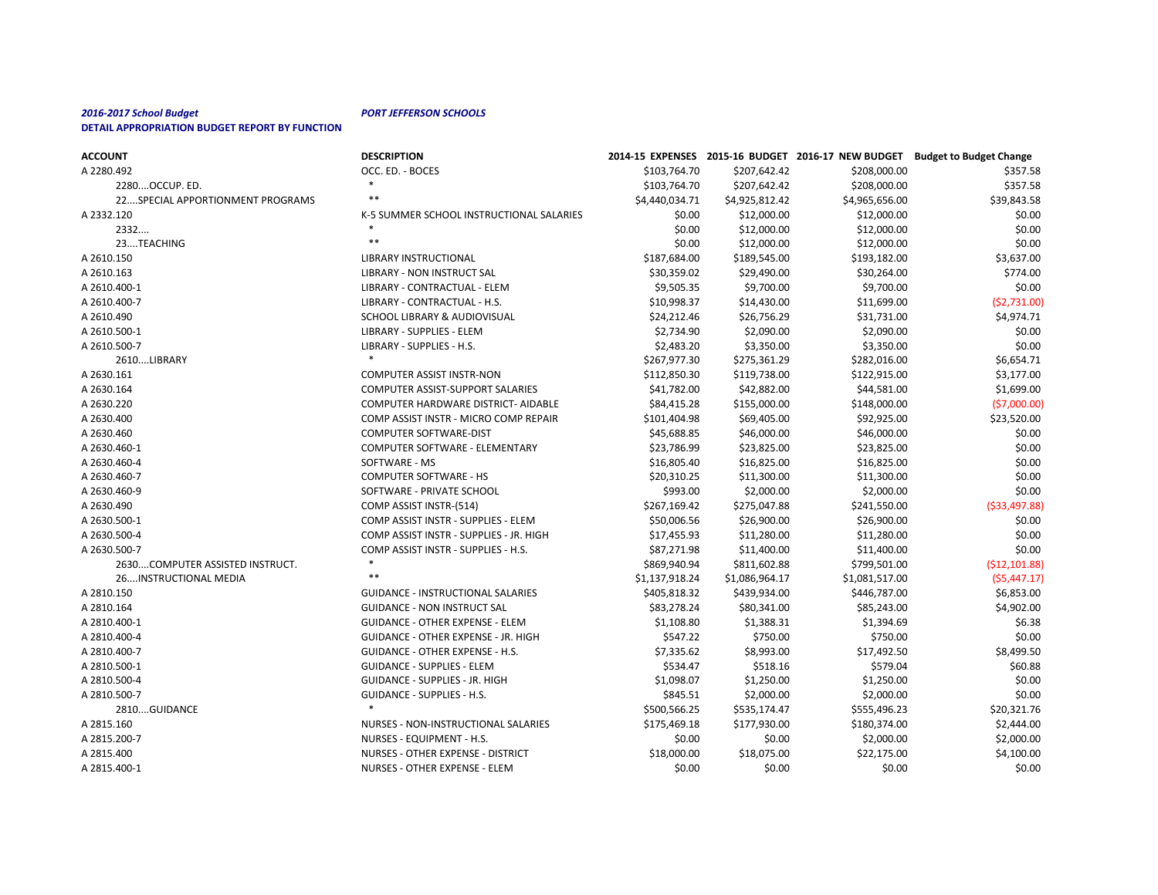| <b>ACCOUNT</b>                   | <b>DESCRIPTION</b>                         |                |                | 2014-15 EXPENSES 2015-16 BUDGET 2016-17 NEW BUDGET | <b>Budget to Budget Change</b> |
|----------------------------------|--------------------------------------------|----------------|----------------|----------------------------------------------------|--------------------------------|
| A 2280.492                       | OCC. ED. - BOCES                           | \$103,764.70   | \$207,642.42   | \$208,000.00                                       | \$357.58                       |
| 2280OCCUP. ED.                   | $\ast$                                     | \$103,764.70   | \$207,642.42   | \$208,000.00                                       | \$357.58                       |
| 22SPECIAL APPORTIONMENT PROGRAMS | $***$                                      | \$4,440,034.71 | \$4,925,812.42 | \$4,965,656.00                                     | \$39,843.58                    |
| A 2332.120                       | K-5 SUMMER SCHOOL INSTRUCTIONAL SALARIES   | \$0.00         | \$12,000.00    | \$12,000.00                                        | \$0.00                         |
| 2332                             |                                            | \$0.00         | \$12,000.00    | \$12,000.00                                        | \$0.00                         |
| 23TEACHING                       | $***$                                      | \$0.00         | \$12,000.00    | \$12,000.00                                        | \$0.00                         |
| A 2610.150                       | <b>LIBRARY INSTRUCTIONAL</b>               | \$187,684.00   | \$189,545.00   | \$193,182.00                                       | \$3,637.00                     |
| A 2610.163                       | <b>LIBRARY - NON INSTRUCT SAL</b>          | \$30,359.02    | \$29,490.00    | \$30,264.00                                        | \$774.00                       |
| A 2610.400-1                     | LIBRARY - CONTRACTUAL - ELEM               | \$9,505.35     | \$9,700.00     | \$9,700.00                                         | \$0.00                         |
| A 2610.400-7                     | LIBRARY - CONTRACTUAL - H.S.               | \$10,998.37    | \$14,430.00    | \$11,699.00                                        | (52, 731.00)                   |
| A 2610.490                       | SCHOOL LIBRARY & AUDIOVISUAL               | \$24,212.46    | \$26,756.29    | \$31,731.00                                        | \$4,974.71                     |
| A 2610.500-1                     | <b>LIBRARY - SUPPLIES - ELEM</b>           | \$2,734.90     | \$2,090.00     | \$2,090.00                                         | \$0.00                         |
| A 2610.500-7                     | LIBRARY - SUPPLIES - H.S.                  | \$2,483.20     | \$3,350.00     | \$3,350.00                                         | \$0.00                         |
| 2610LIBRARY                      |                                            | \$267,977.30   | \$275,361.29   | \$282,016.00                                       | \$6,654.71                     |
| A 2630.161                       | <b>COMPUTER ASSIST INSTR-NON</b>           | \$112,850.30   | \$119,738.00   | \$122,915.00                                       | \$3,177.00                     |
| A 2630.164                       | <b>COMPUTER ASSIST-SUPPORT SALARIES</b>    | \$41,782.00    | \$42,882.00    | \$44,581.00                                        | \$1,699.00                     |
| A 2630.220                       | COMPUTER HARDWARE DISTRICT- AIDABLE        | \$84,415.28    | \$155,000.00   | \$148,000.00                                       | (57,000.00)                    |
| A 2630.400                       | COMP ASSIST INSTR - MICRO COMP REPAIR      | \$101,404.98   | \$69,405.00    | \$92,925.00                                        | \$23,520.00                    |
| A 2630.460                       | COMPUTER SOFTWARE-DIST                     | \$45,688.85    | \$46,000.00    | \$46,000.00                                        | \$0.00                         |
| A 2630.460-1                     | COMPUTER SOFTWARE - ELEMENTARY             | \$23,786.99    | \$23,825.00    | \$23,825.00                                        | \$0.00                         |
| A 2630.460-4                     | SOFTWARE - MS                              | \$16,805.40    | \$16,825.00    | \$16,825.00                                        | \$0.00                         |
| A 2630.460-7                     | <b>COMPUTER SOFTWARE - HS</b>              | \$20,310.25    | \$11,300.00    | \$11,300.00                                        | \$0.00                         |
| A 2630.460-9                     | SOFTWARE - PRIVATE SCHOOL                  | \$993.00       | \$2,000.00     | \$2,000.00                                         | \$0.00                         |
| A 2630.490                       | COMP ASSIST INSTR-(514)                    | \$267,169.42   | \$275,047.88   | \$241,550.00                                       | ( \$33,497.88)                 |
| A 2630.500-1                     | COMP ASSIST INSTR - SUPPLIES - ELEM        | \$50,006.56    | \$26,900.00    | \$26,900.00                                        | \$0.00                         |
| A 2630.500-4                     | COMP ASSIST INSTR - SUPPLIES - JR. HIGH    | \$17,455.93    | \$11,280.00    | \$11,280.00                                        | \$0.00                         |
| A 2630.500-7                     | COMP ASSIST INSTR - SUPPLIES - H.S.        | \$87,271.98    | \$11,400.00    | \$11,400.00                                        | \$0.00                         |
| 2630COMPUTER ASSISTED INSTRUCT.  | $\ast$                                     | \$869,940.94   | \$811,602.88   | \$799,501.00                                       | (512, 101.88)                  |
| 26INSTRUCTIONAL MEDIA            | $\ast\ast$                                 | \$1,137,918.24 | \$1,086,964.17 | \$1,081,517.00                                     | $($ \$5,447.17)                |
| A 2810.150                       | <b>GUIDANCE - INSTRUCTIONAL SALARIES</b>   | \$405,818.32   | \$439,934.00   | \$446,787.00                                       | \$6,853.00                     |
| A 2810.164                       | <b>GUIDANCE - NON INSTRUCT SAL</b>         | \$83,278.24    | \$80,341.00    | \$85,243.00                                        | \$4,902.00                     |
| A 2810.400-1                     | <b>GUIDANCE - OTHER EXPENSE - ELEM</b>     | \$1,108.80     | \$1,388.31     | \$1,394.69                                         | \$6.38                         |
| A 2810.400-4                     | <b>GUIDANCE - OTHER EXPENSE - JR. HIGH</b> | \$547.22       | \$750.00       | \$750.00                                           | \$0.00                         |
| A 2810.400-7                     | <b>GUIDANCE - OTHER EXPENSE - H.S.</b>     | \$7,335.62     | \$8,993.00     | \$17,492.50                                        | \$8,499.50                     |
| A 2810.500-1                     | <b>GUIDANCE - SUPPLIES - ELEM</b>          | \$534.47       | \$518.16       | \$579.04                                           | \$60.88                        |
| A 2810.500-4                     | <b>GUIDANCE - SUPPLIES - JR. HIGH</b>      | \$1,098.07     | \$1,250.00     | \$1,250.00                                         | \$0.00                         |
| A 2810.500-7                     | <b>GUIDANCE - SUPPLIES - H.S.</b>          | \$845.51       | \$2,000.00     | \$2,000.00                                         | \$0.00                         |
| 2810GUIDANCE                     |                                            | \$500,566.25   | \$535,174.47   | \$555,496.23                                       | \$20,321.76                    |
| A 2815.160                       | NURSES - NON-INSTRUCTIONAL SALARIES        | \$175,469.18   | \$177,930.00   | \$180,374.00                                       | \$2,444.00                     |
| A 2815.200-7                     | NURSES - EQUIPMENT - H.S.                  | \$0.00         | \$0.00         | \$2,000.00                                         | \$2,000.00                     |
| A 2815.400                       | NURSES - OTHER EXPENSE - DISTRICT          | \$18,000.00    | \$18,075.00    | \$22,175.00                                        | \$4,100.00                     |
| A 2815.400-1                     | NURSES - OTHER EXPENSE - ELEM              | \$0.00         | \$0.00         | \$0.00                                             | \$0.00                         |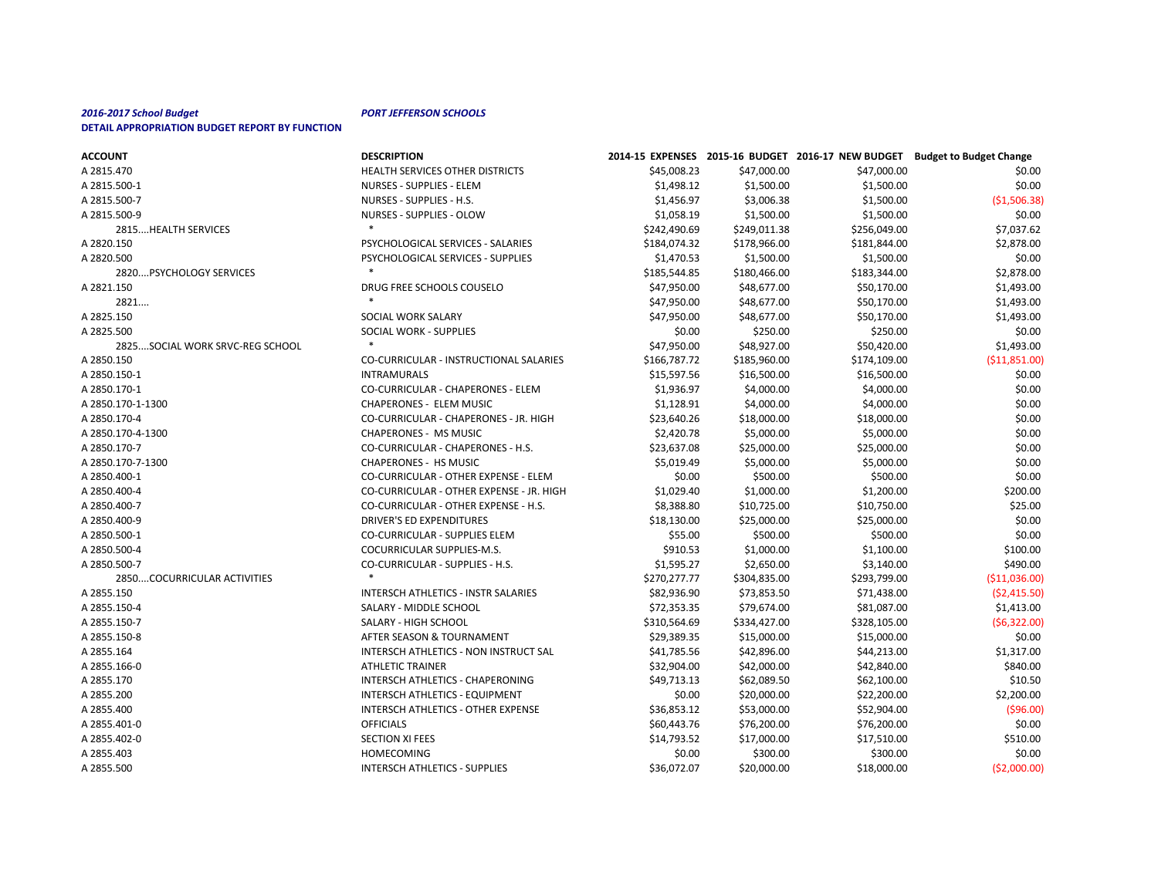| <b>ACCOUNT</b>                  | <b>DESCRIPTION</b>                         |              |              |              | 2014-15 EXPENSES 2015-16 BUDGET 2016-17 NEW BUDGET Budget to Budget Change |
|---------------------------------|--------------------------------------------|--------------|--------------|--------------|----------------------------------------------------------------------------|
| A 2815.470                      | HEALTH SERVICES OTHER DISTRICTS            | \$45,008.23  | \$47,000.00  | \$47,000.00  | \$0.00                                                                     |
| A 2815.500-1                    | <b>NURSES - SUPPLIES - ELEM</b>            | \$1,498.12   | \$1,500.00   | \$1,500.00   | \$0.00                                                                     |
| A 2815.500-7                    | NURSES - SUPPLIES - H.S.                   | \$1,456.97   | \$3,006.38   | \$1,500.00   | ( \$1,506.38)                                                              |
| A 2815.500-9                    | <b>NURSES - SUPPLIES - OLOW</b>            | \$1,058.19   | \$1,500.00   | \$1,500.00   | \$0.00                                                                     |
| 2815 HEALTH SERVICES            | $\ast$                                     | \$242,490.69 | \$249,011.38 | \$256,049.00 | \$7,037.62                                                                 |
| A 2820.150                      | PSYCHOLOGICAL SERVICES - SALARIES          | \$184,074.32 | \$178,966.00 | \$181,844.00 | \$2,878.00                                                                 |
| A 2820.500                      | PSYCHOLOGICAL SERVICES - SUPPLIES          | \$1,470.53   | \$1,500.00   | \$1,500.00   | \$0.00                                                                     |
| 2820PSYCHOLOGY SERVICES         |                                            | \$185,544.85 | \$180,466.00 | \$183,344.00 | \$2,878.00                                                                 |
| A 2821.150                      | DRUG FREE SCHOOLS COUSELO                  | \$47,950.00  | \$48,677.00  | \$50,170.00  | \$1,493.00                                                                 |
| 2821                            | $\ast$                                     | \$47,950.00  | \$48,677.00  | \$50,170.00  | \$1,493.00                                                                 |
| A 2825.150                      | SOCIAL WORK SALARY                         | \$47,950.00  | \$48,677.00  | \$50,170.00  | \$1,493.00                                                                 |
| A 2825.500                      | SOCIAL WORK - SUPPLIES                     | \$0.00       | \$250.00     | \$250.00     | \$0.00                                                                     |
| 2825SOCIAL WORK SRVC-REG SCHOOL |                                            | \$47,950.00  | \$48,927.00  | \$50,420.00  | \$1,493.00                                                                 |
| A 2850.150                      | CO-CURRICULAR - INSTRUCTIONAL SALARIES     | \$166,787.72 | \$185,960.00 | \$174,109.00 | ( \$11,851.00]                                                             |
| A 2850.150-1                    | <b>INTRAMURALS</b>                         | \$15,597.56  | \$16,500.00  | \$16,500.00  | \$0.00                                                                     |
| A 2850.170-1                    | CO-CURRICULAR - CHAPERONES - ELEM          | \$1,936.97   | \$4,000.00   | \$4,000.00   | \$0.00                                                                     |
| A 2850.170-1-1300               | <b>CHAPERONES - ELEM MUSIC</b>             | \$1,128.91   | \$4,000.00   | \$4,000.00   | \$0.00                                                                     |
| A 2850.170-4                    | CO-CURRICULAR - CHAPERONES - JR. HIGH      | \$23,640.26  | \$18,000.00  | \$18,000.00  | \$0.00                                                                     |
| A 2850.170-4-1300               | <b>CHAPERONES - MS MUSIC</b>               | \$2,420.78   | \$5,000.00   | \$5,000.00   | \$0.00                                                                     |
| A 2850.170-7                    | CO-CURRICULAR - CHAPERONES - H.S.          | \$23,637.08  | \$25,000.00  | \$25,000.00  | \$0.00                                                                     |
| A 2850.170-7-1300               | <b>CHAPERONES - HS MUSIC</b>               | \$5,019.49   | \$5,000.00   | \$5,000.00   | \$0.00                                                                     |
| A 2850.400-1                    | CO-CURRICULAR - OTHER EXPENSE - ELEM       | \$0.00       | \$500.00     | \$500.00     | \$0.00                                                                     |
| A 2850.400-4                    | CO-CURRICULAR - OTHER EXPENSE - JR. HIGH   | \$1,029.40   | \$1,000.00   | \$1,200.00   | \$200.00                                                                   |
| A 2850.400-7                    | CO-CURRICULAR - OTHER EXPENSE - H.S.       | \$8,388.80   | \$10,725.00  | \$10,750.00  | \$25.00                                                                    |
| A 2850.400-9                    | <b>DRIVER'S ED EXPENDITURES</b>            | \$18,130.00  | \$25,000.00  | \$25,000.00  | \$0.00                                                                     |
| A 2850.500-1                    | <b>CO-CURRICULAR - SUPPLIES ELEM</b>       | \$55.00      | \$500.00     | \$500.00     | \$0.00                                                                     |
| A 2850.500-4                    | COCURRICULAR SUPPLIES-M.S.                 | \$910.53     | \$1,000.00   | \$1,100.00   | \$100.00                                                                   |
| A 2850.500-7                    | CO-CURRICULAR - SUPPLIES - H.S.            | \$1,595.27   | \$2,650.00   | \$3,140.00   | \$490.00                                                                   |
| 2850COCURRICULAR ACTIVITIES     | $\ast$                                     | \$270,277.77 | \$304,835.00 | \$293,799.00 | ( \$11,036.00]                                                             |
| A 2855.150                      | <b>INTERSCH ATHLETICS - INSTR SALARIES</b> | \$82,936.90  | \$73,853.50  | \$71,438.00  | (52, 415.50)                                                               |
| A 2855.150-4                    | SALARY - MIDDLE SCHOOL                     | \$72,353.35  | \$79,674.00  | \$81,087.00  | \$1,413.00                                                                 |
| A 2855.150-7                    | SALARY - HIGH SCHOOL                       | \$310,564.69 | \$334,427.00 | \$328,105.00 | (56, 322.00)                                                               |
| A 2855.150-8                    | AFTER SEASON & TOURNAMENT                  | \$29,389.35  | \$15,000.00  | \$15,000.00  | \$0.00                                                                     |
| A 2855.164                      | INTERSCH ATHLETICS - NON INSTRUCT SAL      | \$41,785.56  | \$42,896.00  | \$44,213.00  | \$1,317.00                                                                 |
| A 2855.166-0                    | <b>ATHLETIC TRAINER</b>                    | \$32,904.00  | \$42,000.00  | \$42,840.00  | \$840.00                                                                   |
| A 2855.170                      | INTERSCH ATHLETICS - CHAPERONING           | \$49,713.13  | \$62,089.50  | \$62,100.00  | \$10.50                                                                    |
| A 2855.200                      | INTERSCH ATHLETICS - EQUIPMENT             | \$0.00       | \$20,000.00  | \$22,200.00  | \$2,200.00                                                                 |
| A 2855.400                      | INTERSCH ATHLETICS - OTHER EXPENSE         | \$36,853.12  | \$53,000.00  | \$52,904.00  | ( \$96.00]                                                                 |
| A 2855.401-0                    | <b>OFFICIALS</b>                           | \$60,443.76  | \$76,200.00  | \$76,200.00  | \$0.00                                                                     |
| A 2855.402-0                    | <b>SECTION XI FEES</b>                     | \$14,793.52  | \$17,000.00  | \$17,510.00  | \$510.00                                                                   |
| A 2855.403                      | HOMECOMING                                 | \$0.00       | \$300.00     | \$300.00     | \$0.00                                                                     |
| A 2855.500                      | <b>INTERSCH ATHLETICS - SUPPLIES</b>       | \$36,072.07  | \$20,000.00  | \$18,000.00  | ( \$2,000.00]                                                              |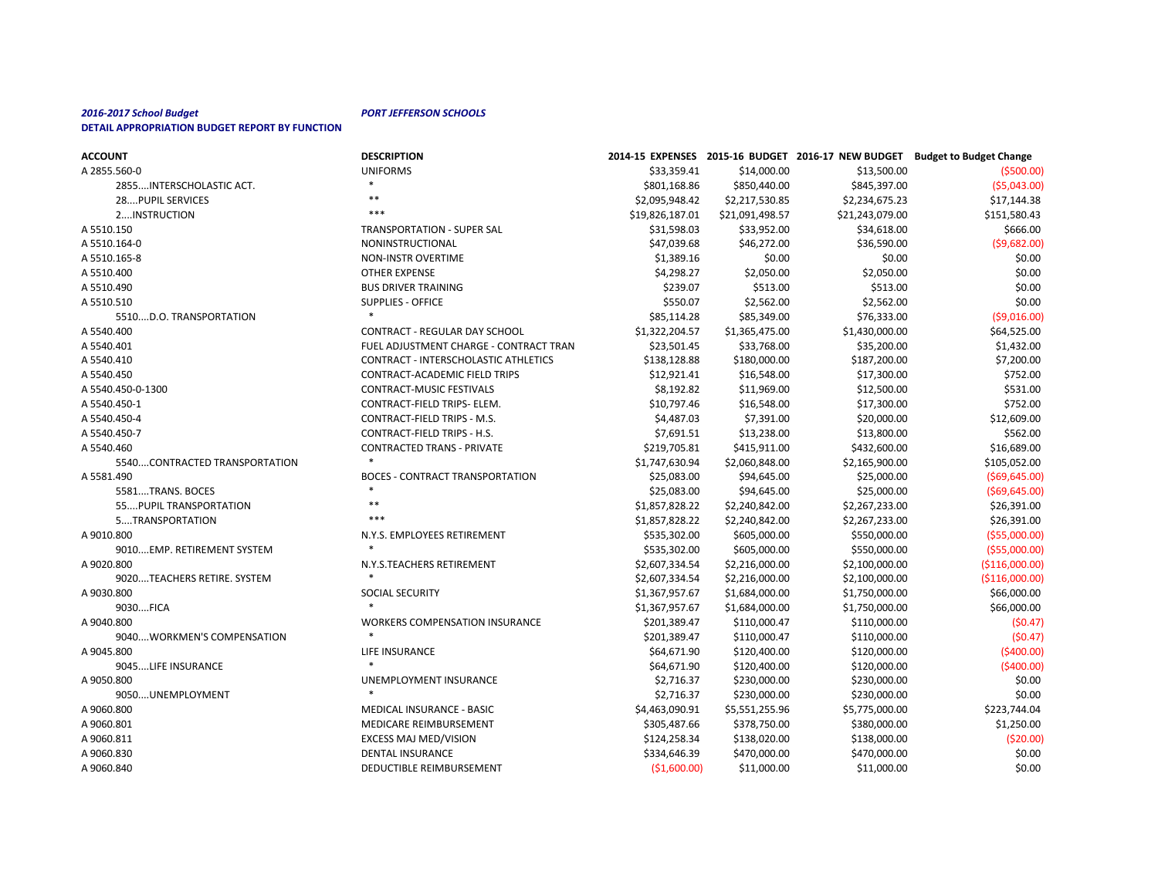| <b>ACCOUNT</b>                | <b>DESCRIPTION</b>                          |                 |                 |                 | 2014-15 EXPENSES 2015-16 BUDGET 2016-17 NEW BUDGET Budget to Budget Change |
|-------------------------------|---------------------------------------------|-----------------|-----------------|-----------------|----------------------------------------------------------------------------|
| A 2855.560-0                  | <b>UNIFORMS</b>                             | \$33,359.41     | \$14,000.00     | \$13,500.00     | ( \$500.00)                                                                |
| 2855INTERSCHOLASTIC ACT.      |                                             | \$801,168.86    | \$850,440.00    | \$845,397.00    | (55,043.00)                                                                |
| 28PUPIL SERVICES              | $***$                                       | \$2,095,948.42  | \$2,217,530.85  | \$2,234,675.23  | \$17,144.38                                                                |
| 2INSTRUCTION                  | ***                                         | \$19,826,187.01 | \$21,091,498.57 | \$21,243,079.00 | \$151,580.43                                                               |
| A 5510.150                    | <b>TRANSPORTATION - SUPER SAL</b>           | \$31,598.03     | \$33,952.00     | \$34,618.00     | \$666.00                                                                   |
| A 5510.164-0                  | NONINSTRUCTIONAL                            | \$47,039.68     | \$46,272.00     | \$36,590.00     | (59,682.00)                                                                |
| A 5510.165-8                  | <b>NON-INSTR OVERTIME</b>                   | \$1,389.16      | \$0.00          | \$0.00          | \$0.00                                                                     |
| A 5510.400                    | <b>OTHER EXPENSE</b>                        | \$4,298.27      | \$2,050.00      | \$2,050.00      | \$0.00                                                                     |
| A 5510.490                    | <b>BUS DRIVER TRAINING</b>                  | \$239.07        | \$513.00        | \$513.00        | \$0.00                                                                     |
| A 5510.510                    | <b>SUPPLIES - OFFICE</b>                    | \$550.07        | \$2,562.00      | \$2,562.00      | \$0.00                                                                     |
| 5510D.O. TRANSPORTATION       |                                             | \$85,114.28     | \$85,349.00     | \$76,333.00     | ( \$9,016.00)                                                              |
| A 5540.400                    | <b>CONTRACT - REGULAR DAY SCHOOL</b>        | \$1,322,204.57  | \$1,365,475.00  | \$1,430,000.00  | \$64,525.00                                                                |
| A 5540.401                    | FUEL ADJUSTMENT CHARGE - CONTRACT TRAN      | \$23,501.45     | \$33,768.00     | \$35,200.00     | \$1,432.00                                                                 |
| A 5540.410                    | <b>CONTRACT - INTERSCHOLASTIC ATHLETICS</b> | \$138,128.88    | \$180,000.00    | \$187,200.00    | \$7,200.00                                                                 |
| A 5540.450                    | CONTRACT-ACADEMIC FIELD TRIPS               | \$12,921.41     | \$16,548.00     | \$17,300.00     | \$752.00                                                                   |
| A 5540.450-0-1300             | <b>CONTRACT-MUSIC FESTIVALS</b>             | \$8,192.82      | \$11,969.00     | \$12,500.00     | \$531.00                                                                   |
| A 5540.450-1                  | CONTRACT-FIELD TRIPS- ELEM.                 | \$10,797.46     | \$16,548.00     | \$17,300.00     | \$752.00                                                                   |
| A 5540.450-4                  | CONTRACT-FIELD TRIPS - M.S.                 | \$4,487.03      | \$7,391.00      | \$20,000.00     | \$12,609.00                                                                |
| A 5540.450-7                  | CONTRACT-FIELD TRIPS - H.S.                 | \$7,691.51      | \$13,238.00     | \$13,800.00     | \$562.00                                                                   |
| A 5540.460                    | <b>CONTRACTED TRANS - PRIVATE</b>           | \$219,705.81    | \$415,911.00    | \$432,600.00    | \$16,689.00                                                                |
| 5540CONTRACTED TRANSPORTATION |                                             | \$1,747,630.94  | \$2,060,848.00  | \$2,165,900.00  | \$105,052.00                                                               |
| A 5581.490                    | <b>BOCES - CONTRACT TRANSPORTATION</b>      | \$25,083.00     | \$94,645.00     | \$25,000.00     | ( \$69, 645.00)                                                            |
| 5581TRANS. BOCES              |                                             | \$25,083.00     | \$94,645.00     | \$25,000.00     | ( \$69, 645.00)                                                            |
| 55 PUPIL TRANSPORTATION       | $***$                                       | \$1,857,828.22  | \$2,240,842.00  | \$2,267,233.00  | \$26,391.00                                                                |
| 5TRANSPORTATION               | ***                                         | \$1,857,828.22  | \$2,240,842.00  | \$2,267,233.00  | \$26,391.00                                                                |
| A 9010.800                    | N.Y.S. EMPLOYEES RETIREMENT                 | \$535,302.00    | \$605,000.00    | \$550,000.00    | ( \$55,000.00)                                                             |
| 9010EMP. RETIREMENT SYSTEM    |                                             | \$535,302.00    | \$605,000.00    | \$550,000.00    | ( \$55,000.00]                                                             |
| A 9020.800                    | N.Y.S.TEACHERS RETIREMENT                   | \$2,607,334.54  | \$2,216,000.00  | \$2,100,000.00  | ( \$116,000.00]                                                            |
| 9020TEACHERS RETIRE. SYSTEM   |                                             | \$2,607,334.54  | \$2,216,000.00  | \$2,100,000.00  | ( \$116,000.00]                                                            |
| A 9030.800                    | SOCIAL SECURITY                             | \$1,367,957.67  | \$1,684,000.00  | \$1,750,000.00  | \$66,000.00                                                                |
| 9030FICA                      |                                             | \$1,367,957.67  | \$1,684,000.00  | \$1,750,000.00  | \$66,000.00                                                                |
| A 9040.800                    | <b>WORKERS COMPENSATION INSURANCE</b>       | \$201,389.47    | \$110,000.47    | \$110,000.00    | (50.47)                                                                    |
| 9040WORKMEN'S COMPENSATION    |                                             | \$201,389.47    | \$110,000.47    | \$110,000.00    | (50.47)                                                                    |
| A 9045.800                    | LIFE INSURANCE                              | \$64,671.90     | \$120,400.00    | \$120,000.00    | (5400.00)                                                                  |
| 9045LIFE INSURANCE            |                                             | \$64,671.90     | \$120,400.00    | \$120,000.00    | (5400.00)                                                                  |
| A 9050.800                    | UNEMPLOYMENT INSURANCE                      | \$2,716.37      | \$230,000.00    | \$230,000.00    | \$0.00                                                                     |
| 9050UNEMPLOYMENT              |                                             | \$2,716.37      | \$230,000.00    | \$230,000.00    | \$0.00                                                                     |
| A 9060.800                    | <b>MEDICAL INSURANCE - BASIC</b>            | \$4,463,090.91  | \$5,551,255.96  | \$5,775,000.00  | \$223,744.04                                                               |
| A 9060.801                    | MEDICARE REIMBURSEMENT                      | \$305,487.66    | \$378,750.00    | \$380,000.00    | \$1,250.00                                                                 |
| A 9060.811                    | <b>EXCESS MAJ MED/VISION</b>                | \$124,258.34    | \$138,020.00    | \$138,000.00    | ( \$20.00]                                                                 |
| A 9060.830                    | <b>DENTAL INSURANCE</b>                     | \$334,646.39    | \$470,000.00    | \$470,000.00    | \$0.00                                                                     |
| A 9060.840                    | DEDUCTIBLE REIMBURSEMENT                    | (\$1,600.00)    | \$11,000.00     | \$11,000.00     | \$0.00                                                                     |